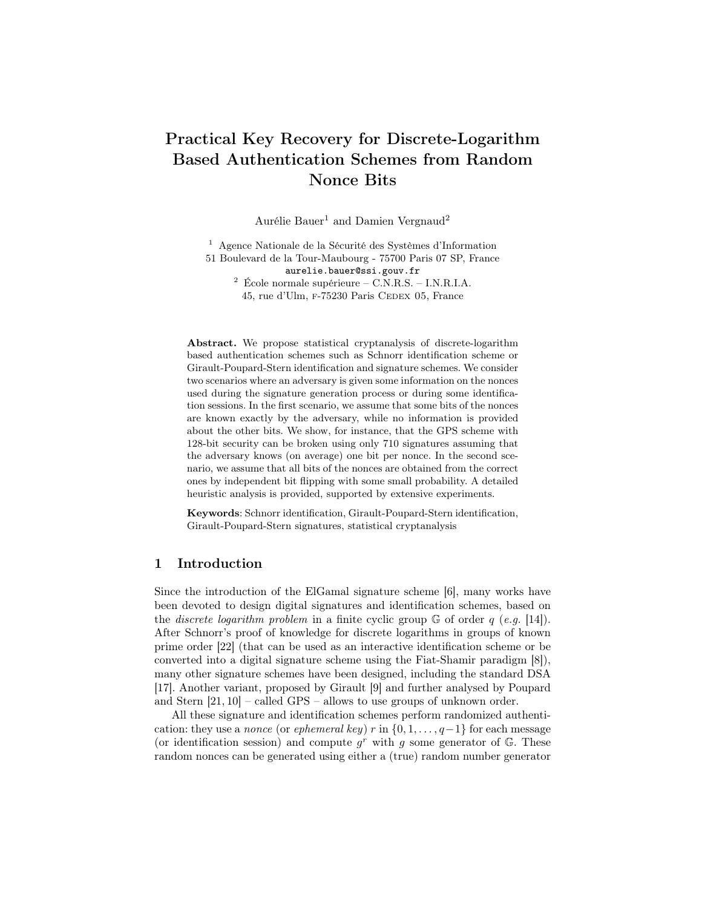# Practical Key Recovery for Discrete-Logarithm Based Authentication Schemes from Random Nonce Bits

Aurélie Bauer<sup>1</sup> and Damien Vergnaud<sup>2</sup>

<sup>1</sup> Agence Nationale de la Sécurité des Systèmes d'Information 51 Boulevard de la Tour-Maubourg - 75700 Paris 07 SP, France aurelie.bauer@ssi.gouv.fr  $^2$  École normale supérieure – C.N.R.S. – I.N.R.I.A.

45, rue d'Ulm, F-75230 Paris CEDEX 05, France

Abstract. We propose statistical cryptanalysis of discrete-logarithm based authentication schemes such as Schnorr identification scheme or Girault-Poupard-Stern identification and signature schemes. We consider two scenarios where an adversary is given some information on the nonces used during the signature generation process or during some identification sessions. In the first scenario, we assume that some bits of the nonces are known exactly by the adversary, while no information is provided about the other bits. We show, for instance, that the GPS scheme with 128-bit security can be broken using only 710 signatures assuming that the adversary knows (on average) one bit per nonce. In the second scenario, we assume that all bits of the nonces are obtained from the correct ones by independent bit flipping with some small probability. A detailed heuristic analysis is provided, supported by extensive experiments.

Keywords: Schnorr identification, Girault-Poupard-Stern identification, Girault-Poupard-Stern signatures, statistical cryptanalysis

# 1 Introduction

Since the introduction of the ElGamal signature scheme [6], many works have been devoted to design digital signatures and identification schemes, based on the *discrete logarithm problem* in a finite cyclic group  $\mathbb{G}$  of order q (e.g. [14]). After Schnorr's proof of knowledge for discrete logarithms in groups of known prime order [22] (that can be used as an interactive identification scheme or be converted into a digital signature scheme using the Fiat-Shamir paradigm [8]), many other signature schemes have been designed, including the standard DSA [17]. Another variant, proposed by Girault [9] and further analysed by Poupard and Stern [21, 10] – called GPS – allows to use groups of unknown order.

All these signature and identification schemes perform randomized authentication: they use a *nonce* (or *ephemeral key)* r in  $\{0, 1, \ldots, q-1\}$  for each message (or identification session) and compute  $g<sup>r</sup>$  with g some generator of G. These random nonces can be generated using either a (true) random number generator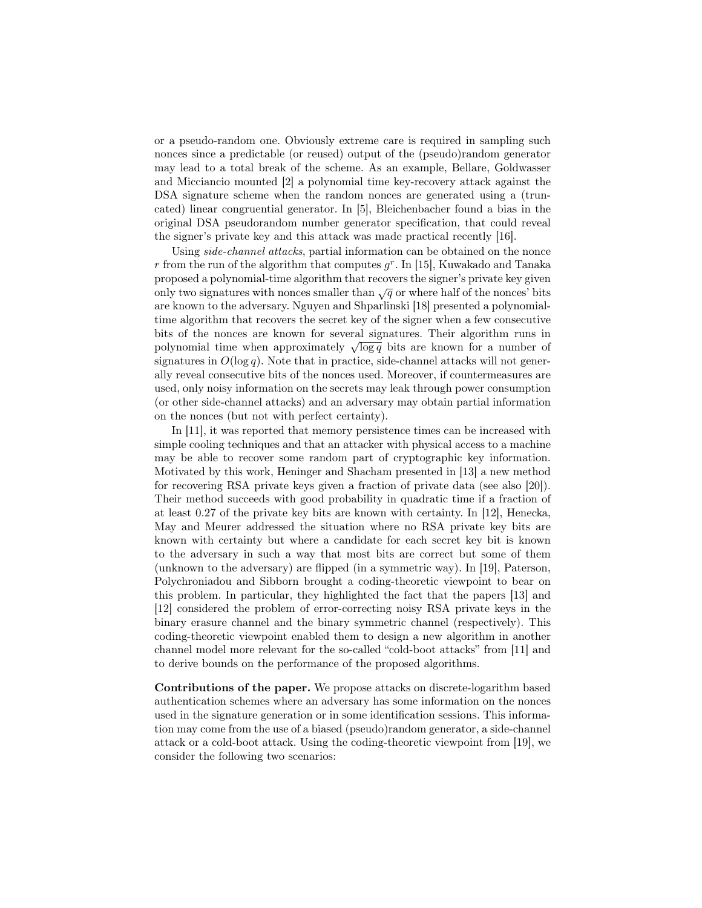or a pseudo-random one. Obviously extreme care is required in sampling such nonces since a predictable (or reused) output of the (pseudo)random generator may lead to a total break of the scheme. As an example, Bellare, Goldwasser and Micciancio mounted [2] a polynomial time key-recovery attack against the DSA signature scheme when the random nonces are generated using a (truncated) linear congruential generator. In [5], Bleichenbacher found a bias in the original DSA pseudorandom number generator specification, that could reveal the signer's private key and this attack was made practical recently [16].

Using side-channel attacks, partial information can be obtained on the nonce r from the run of the algorithm that computes  $g^r$ . In [15], Kuwakado and Tanaka proposed a polynomial-time algorithm that recovers the signer's private key given only two signatures with nonces smaller than  $\sqrt{q}$  or where half of the nonces' bits are known to the adversary. Nguyen and Shparlinski [18] presented a polynomialtime algorithm that recovers the secret key of the signer when a few consecutive bits of the nonces are known for several signatures. Their algorithm runs in but of the honces are known for several signatures. Their algorithm runs in polynomial time when approximately  $\sqrt{\log q}$  bits are known for a number of signatures in  $O(\log q)$ . Note that in practice, side-channel attacks will not generally reveal consecutive bits of the nonces used. Moreover, if countermeasures are used, only noisy information on the secrets may leak through power consumption (or other side-channel attacks) and an adversary may obtain partial information on the nonces (but not with perfect certainty).

In [11], it was reported that memory persistence times can be increased with simple cooling techniques and that an attacker with physical access to a machine may be able to recover some random part of cryptographic key information. Motivated by this work, Heninger and Shacham presented in [13] a new method for recovering RSA private keys given a fraction of private data (see also [20]). Their method succeeds with good probability in quadratic time if a fraction of at least 0.27 of the private key bits are known with certainty. In [12], Henecka, May and Meurer addressed the situation where no RSA private key bits are known with certainty but where a candidate for each secret key bit is known to the adversary in such a way that most bits are correct but some of them (unknown to the adversary) are flipped (in a symmetric way). In [19], Paterson, Polychroniadou and Sibborn brought a coding-theoretic viewpoint to bear on this problem. In particular, they highlighted the fact that the papers [13] and [12] considered the problem of error-correcting noisy RSA private keys in the binary erasure channel and the binary symmetric channel (respectively). This coding-theoretic viewpoint enabled them to design a new algorithm in another channel model more relevant for the so-called "cold-boot attacks" from [11] and to derive bounds on the performance of the proposed algorithms.

Contributions of the paper. We propose attacks on discrete-logarithm based authentication schemes where an adversary has some information on the nonces used in the signature generation or in some identification sessions. This information may come from the use of a biased (pseudo)random generator, a side-channel attack or a cold-boot attack. Using the coding-theoretic viewpoint from [19], we consider the following two scenarios: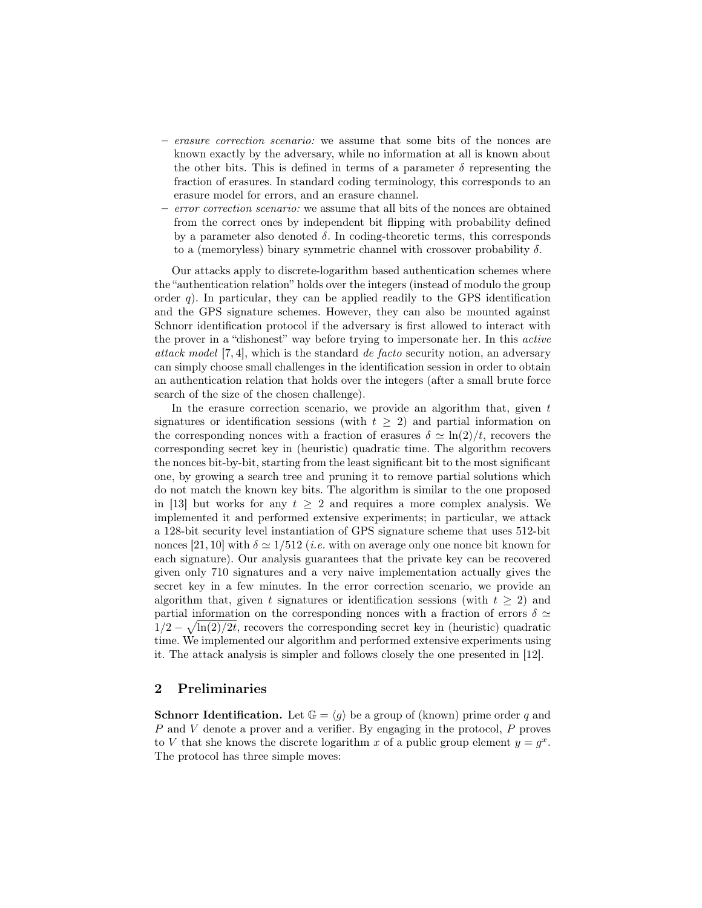- erasure correction scenario: we assume that some bits of the nonces are known exactly by the adversary, while no information at all is known about the other bits. This is defined in terms of a parameter  $\delta$  representing the fraction of erasures. In standard coding terminology, this corresponds to an erasure model for errors, and an erasure channel.
- error correction scenario: we assume that all bits of the nonces are obtained from the correct ones by independent bit flipping with probability defined by a parameter also denoted  $\delta$ . In coding-theoretic terms, this corresponds to a (memoryless) binary symmetric channel with crossover probability  $\delta$ .

Our attacks apply to discrete-logarithm based authentication schemes where the "authentication relation" holds over the integers (instead of modulo the group order q). In particular, they can be applied readily to the GPS identification and the GPS signature schemes. However, they can also be mounted against Schnorr identification protocol if the adversary is first allowed to interact with the prover in a "dishonest" way before trying to impersonate her. In this active attack model [7, 4], which is the standard de facto security notion, an adversary can simply choose small challenges in the identification session in order to obtain an authentication relation that holds over the integers (after a small brute force search of the size of the chosen challenge).

In the erasure correction scenario, we provide an algorithm that, given  $t$ signatures or identification sessions (with  $t \geq 2$ ) and partial information on the corresponding nonces with a fraction of erasures  $\delta \simeq \ln(2)/t$ , recovers the corresponding secret key in (heuristic) quadratic time. The algorithm recovers the nonces bit-by-bit, starting from the least significant bit to the most significant one, by growing a search tree and pruning it to remove partial solutions which do not match the known key bits. The algorithm is similar to the one proposed in [13] but works for any  $t \geq 2$  and requires a more complex analysis. We implemented it and performed extensive experiments; in particular, we attack a 128-bit security level instantiation of GPS signature scheme that uses 512-bit nonces [21, 10] with  $\delta \simeq 1/512$  (*i.e.* with on average only one nonce bit known for each signature). Our analysis guarantees that the private key can be recovered given only 710 signatures and a very naive implementation actually gives the secret key in a few minutes. In the error correction scenario, we provide an algorithm that, given t signatures or identification sessions (with  $t \geq 2$ ) and partial information on the corresponding nonces with a fraction of errors  $\delta \simeq$  $1/2 - \sqrt{\ln(2)/2t}$ , recovers the corresponding secret key in (heuristic) quadratic time. We implemented our algorithm and performed extensive experiments using it. The attack analysis is simpler and follows closely the one presented in [12].

## 2 Preliminaries

**Schnorr Identification.** Let  $\mathbb{G} = \langle g \rangle$  be a group of (known) prime order q and P and V denote a prover and a verifier. By engaging in the protocol, P proves to V that she knows the discrete logarithm x of a public group element  $y = g^x$ . The protocol has three simple moves: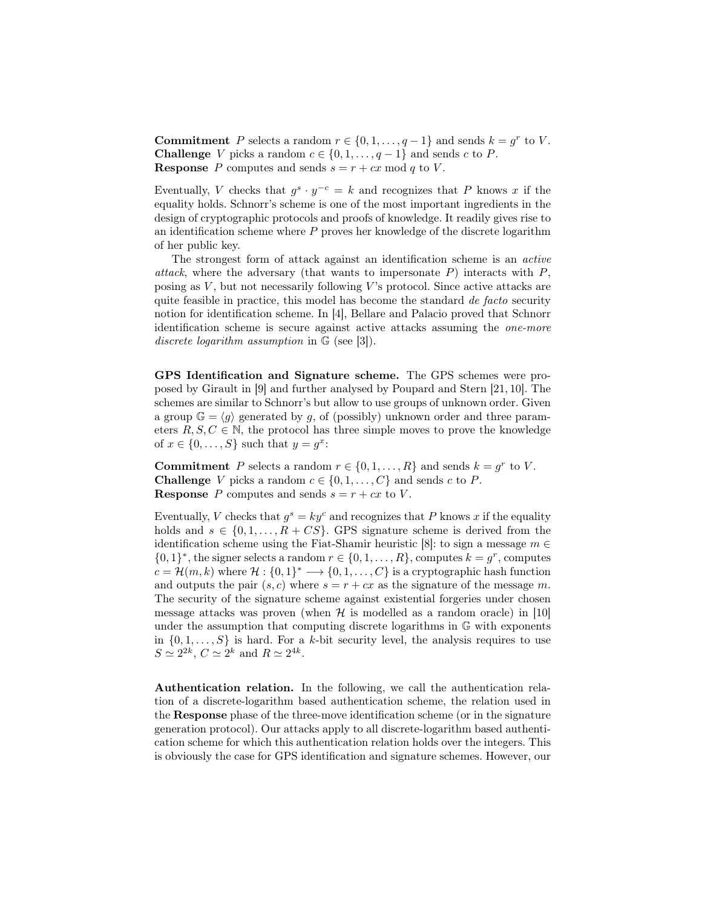**Commitment** P selects a random  $r \in \{0, 1, \ldots, q-1\}$  and sends  $k = g^r$  to V. **Challenge** *V* picks a random  $c \in \{0, 1, \ldots, q-1\}$  and sends *c* to *P*. **Response** P computes and sends  $s = r + cx \mod q$  to V.

Eventually, V checks that  $g^s \cdot y^{-c} = k$  and recognizes that P knows x if the equality holds. Schnorr's scheme is one of the most important ingredients in the design of cryptographic protocols and proofs of knowledge. It readily gives rise to an identification scheme where  $P$  proves her knowledge of the discrete logarithm of her public key.

The strongest form of attack against an identification scheme is an active attack, where the adversary (that wants to impersonate  $P$ ) interacts with  $P$ , posing as  $V$ , but not necessarily following  $V$ 's protocol. Since active attacks are quite feasible in practice, this model has become the standard de facto security notion for identification scheme. In [4], Bellare and Palacio proved that Schnorr identification scheme is secure against active attacks assuming the one-more discrete logarithm assumption in  $\mathbb{G}$  (see [3]).

GPS Identification and Signature scheme. The GPS schemes were proposed by Girault in [9] and further analysed by Poupard and Stern [21, 10]. The schemes are similar to Schnorr's but allow to use groups of unknown order. Given a group  $\mathbb{G} = \langle g \rangle$  generated by g, of (possibly) unknown order and three parameters  $R, S, C \in \mathbb{N}$ , the protocol has three simple moves to prove the knowledge of  $x \in \{0, \ldots, S\}$  such that  $y = g^x$ :

**Commitment** P selects a random  $r \in \{0, 1, ..., R\}$  and sends  $k = g^r$  to V. **Challenge** V picks a random  $c \in \{0, 1, \ldots, C\}$  and sends c to P. **Response** P computes and sends  $s = r + cx$  to V.

Eventually, V checks that  $g^s = ky^c$  and recognizes that P knows x if the equality holds and  $s \in \{0, 1, ..., R + CS\}$ . GPS signature scheme is derived from the identification scheme using the Fiat-Shamir heuristic [8]: to sign a message  $m \in$  $\{0,1\}^*$ , the signer selects a random  $r \in \{0,1,\ldots,R\}$ , computes  $k = g^r$ , computes  $c = \mathcal{H}(m, k)$  where  $\mathcal{H}: \{0, 1\}^* \longrightarrow \{0, 1, \ldots, C\}$  is a cryptographic hash function and outputs the pair  $(s, c)$  where  $s = r + cx$  as the signature of the message m. The security of the signature scheme against existential forgeries under chosen message attacks was proven (when  $\mathcal{H}$  is modelled as a random oracle) in [10] under the assumption that computing discrete logarithms in G with exponents in  $\{0, 1, \ldots, S\}$  is hard. For a k-bit security level, the analysis requires to use  $S \simeq 2^{2k}, C \simeq 2^k$  and  $R \simeq 2^{4k}$ .

Authentication relation. In the following, we call the authentication relation of a discrete-logarithm based authentication scheme, the relation used in the Response phase of the three-move identification scheme (or in the signature generation protocol). Our attacks apply to all discrete-logarithm based authentication scheme for which this authentication relation holds over the integers. This is obviously the case for GPS identification and signature schemes. However, our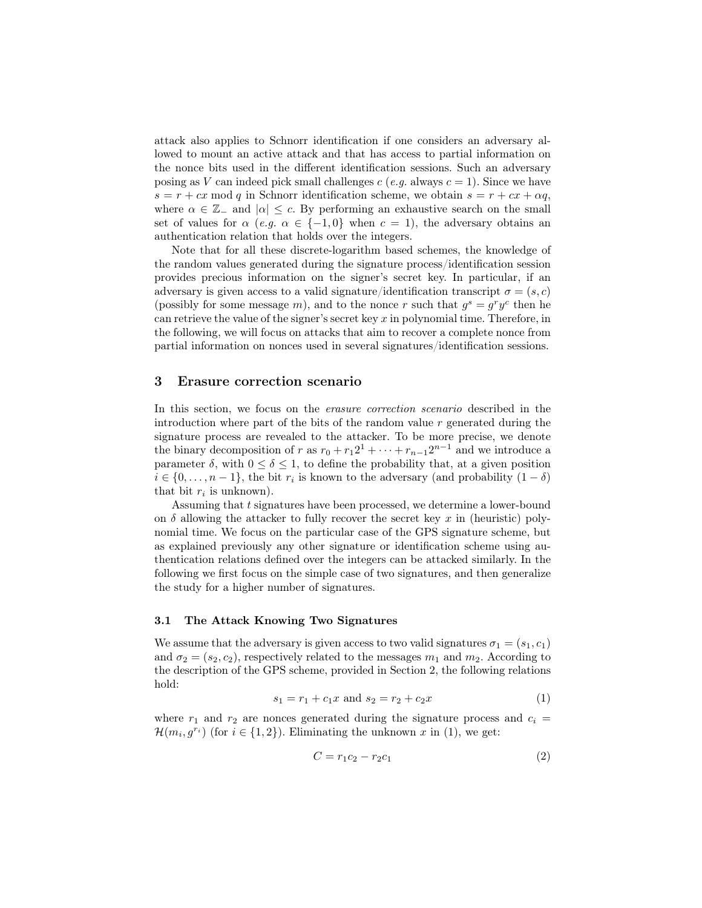attack also applies to Schnorr identification if one considers an adversary allowed to mount an active attack and that has access to partial information on the nonce bits used in the different identification sessions. Such an adversary posing as V can indeed pick small challenges  $c$  (e.g. always  $c = 1$ ). Since we have  $s = r + cx \mod q$  in Schnorr identification scheme, we obtain  $s = r + cx + \alpha q$ , where  $\alpha \in \mathbb{Z}_-$  and  $|\alpha| \leq c$ . By performing an exhaustive search on the small set of values for  $\alpha$  (e.g.  $\alpha \in \{-1,0\}$  when  $c = 1$ ), the adversary obtains an authentication relation that holds over the integers.

Note that for all these discrete-logarithm based schemes, the knowledge of the random values generated during the signature process/identification session provides precious information on the signer's secret key. In particular, if an adversary is given access to a valid signature/identification transcript  $\sigma = (s, c)$ (possibly for some message m), and to the nonce r such that  $g^s = g^r y^c$  then he can retrieve the value of the signer's secret key  $x$  in polynomial time. Therefore, in the following, we will focus on attacks that aim to recover a complete nonce from partial information on nonces used in several signatures/identification sessions.

### 3 Erasure correction scenario

In this section, we focus on the erasure correction scenario described in the introduction where part of the bits of the random value  $r$  generated during the signature process are revealed to the attacker. To be more precise, we denote the binary decomposition of r as  $r_0 + r_1 2^1 + \cdots + r_{n-1} 2^{n-1}$  and we introduce a parameter  $\delta$ , with  $0 \leq \delta \leq 1$ , to define the probability that, at a given position  $i \in \{0, \ldots, n-1\}$ , the bit  $r_i$  is known to the adversary (and probability  $(1 - \delta)$ that bit  $r_i$  is unknown).

Assuming that t signatures have been processed, we determine a lower-bound on  $\delta$  allowing the attacker to fully recover the secret key x in (heuristic) polynomial time. We focus on the particular case of the GPS signature scheme, but as explained previously any other signature or identification scheme using authentication relations defined over the integers can be attacked similarly. In the following we first focus on the simple case of two signatures, and then generalize the study for a higher number of signatures.

#### 3.1 The Attack Knowing Two Signatures

We assume that the adversary is given access to two valid signatures  $\sigma_1 = (s_1, c_1)$ and  $\sigma_2 = (s_2, c_2)$ , respectively related to the messages  $m_1$  and  $m_2$ . According to the description of the GPS scheme, provided in Section 2, the following relations hold:

$$
s_1 = r_1 + c_1 x \text{ and } s_2 = r_2 + c_2 x \tag{1}
$$

where  $r_1$  and  $r_2$  are nonces generated during the signature process and  $c_i =$  $\mathcal{H}(m_i, g^{r_i})$  (for  $i \in \{1, 2\}$ ). Eliminating the unknown x in (1), we get:

$$
C = r_1 c_2 - r_2 c_1 \tag{2}
$$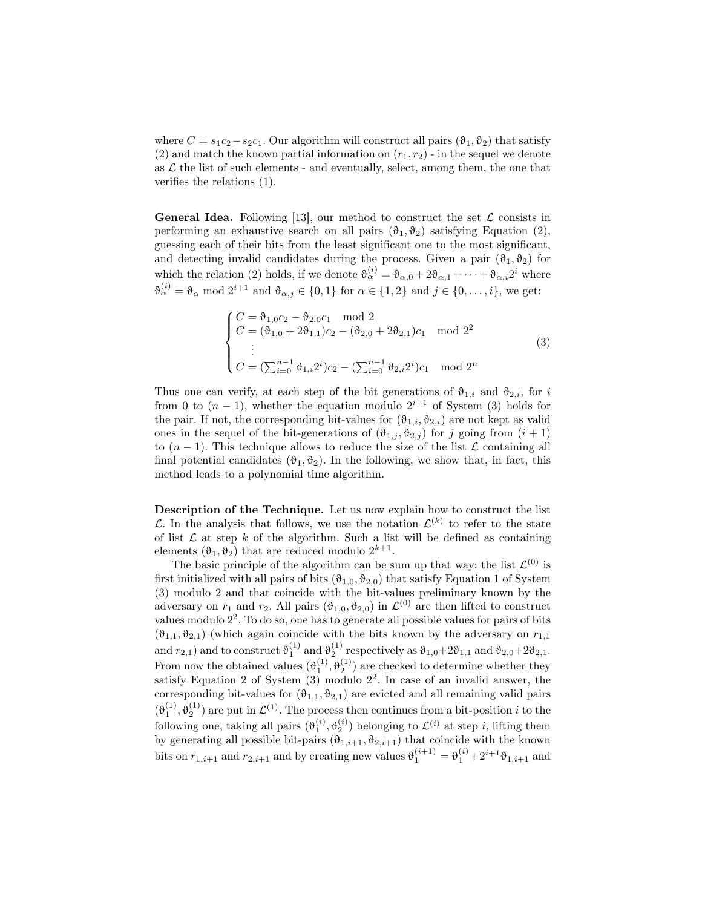where  $C = s_1c_2 - s_2c_1$ . Our algorithm will construct all pairs  $(\vartheta_1, \vartheta_2)$  that satisfy (2) and match the known partial information on  $(r_1, r_2)$  - in the sequel we denote as  $\mathcal L$  the list of such elements - and eventually, select, among them, the one that verifies the relations (1).

**General Idea.** Following [13], our method to construct the set  $\mathcal{L}$  consists in performing an exhaustive search on all pairs  $(\vartheta_1, \vartheta_2)$  satisfying Equation (2), guessing each of their bits from the least significant one to the most significant, and detecting invalid candidates during the process. Given a pair  $(\vartheta_1, \vartheta_2)$  for which the relation (2) holds, if we denote  $\vartheta_{\alpha}^{(i)} = \vartheta_{\alpha,0} + 2\vartheta_{\alpha,1} + \cdots + \vartheta_{\alpha,i}2^i$  where  $\vartheta_{\alpha}^{(i)} = \vartheta_{\alpha} \mod 2^{i+1}$  and  $\vartheta_{\alpha,j} \in \{0,1\}$  for  $\alpha \in \{1,2\}$  and  $j \in \{0,\ldots,i\}$ , we get:

$$
\begin{cases}\nC = \vartheta_{1,0}c_2 - \vartheta_{2,0}c_1 \mod 2 \\
C = (\vartheta_{1,0} + 2\vartheta_{1,1})c_2 - (\vartheta_{2,0} + 2\vartheta_{2,1})c_1 \mod 2^2 \\
\vdots \\
C = (\sum_{i=0}^{n-1} \vartheta_{1,i}2^i)c_2 - (\sum_{i=0}^{n-1} \vartheta_{2,i}2^i)c_1 \mod 2^n\n\end{cases}
$$
\n(3)

Thus one can verify, at each step of the bit generations of  $\vartheta_{1,i}$  and  $\vartheta_{2,i}$ , for i from 0 to  $(n-1)$ , whether the equation modulo  $2^{i+1}$  of System (3) holds for the pair. If not, the corresponding bit-values for  $(\vartheta_{1,i}, \vartheta_{2,i})$  are not kept as valid ones in the sequel of the bit-generations of  $(\vartheta_{1,j}, \vartheta_{2,j})$  for j going from  $(i + 1)$ to  $(n-1)$ . This technique allows to reduce the size of the list  $\mathcal L$  containing all final potential candidates  $(\vartheta_1, \vartheta_2)$ . In the following, we show that, in fact, this method leads to a polynomial time algorithm.

Description of the Technique. Let us now explain how to construct the list L. In the analysis that follows, we use the notation  $\mathcal{L}^{(k)}$  to refer to the state of list  $\mathcal L$  at step k of the algorithm. Such a list will be defined as containing elements  $(\vartheta_1, \vartheta_2)$  that are reduced modulo  $2^{k+1}$ .

The basic principle of the algorithm can be sum up that way: the list  $\mathcal{L}^{(0)}$  is first initialized with all pairs of bits  $(\vartheta_{1,0}, \vartheta_{2,0})$  that satisfy Equation 1 of System (3) modulo 2 and that coincide with the bit-values preliminary known by the adversary on  $r_1$  and  $r_2$ . All pairs  $(\vartheta_{1,0}, \vartheta_{2,0})$  in  $\mathcal{L}^{(0)}$  are then lifted to construct values modulo 2 2 . To do so, one has to generate all possible values for pairs of bits  $(\vartheta_{1,1}, \vartheta_{2,1})$  (which again coincide with the bits known by the adversary on  $r_{1,1}$ and  $r_{2,1}$ ) and to construct  $\vartheta_1^{(1)}$  and  $\vartheta_2^{(1)}$  respectively as  $\vartheta_{1,0}+2\vartheta_{1,1}$  and  $\vartheta_{2,0}+2\vartheta_{2,1}$ . From now the obtained values  $(\vartheta_1^{(1)}, \vartheta_2^{(1)})$  are checked to determine whether they satisfy Equation 2 of System  $(3)$  modulo  $2<sup>2</sup>$ . In case of an invalid answer, the corresponding bit-values for  $(\vartheta_{1,1}, \vartheta_{2,1})$  are evicted and all remaining valid pairs  $(\vartheta_1^{(1)}, \vartheta_2^{(1)})$  are put in  $\mathcal{L}^{(1)}$ . The process then continues from a bit-position i to the following one, taking all pairs  $(\vartheta_1^{(i)}, \vartheta_2^{(i)})$  belonging to  $\mathcal{L}^{(i)}$  at step *i*, lifting them by generating all possible bit-pairs  $(\vartheta_{1,i+1}, \vartheta_{2,i+1})$  that coincide with the known bits on  $r_{1,i+1}$  and  $r_{2,i+1}$  and by creating new values  $\vartheta_1^{(i+1)} = \vartheta_1^{(i)} + 2^{i+1}\vartheta_{1,i+1}$  and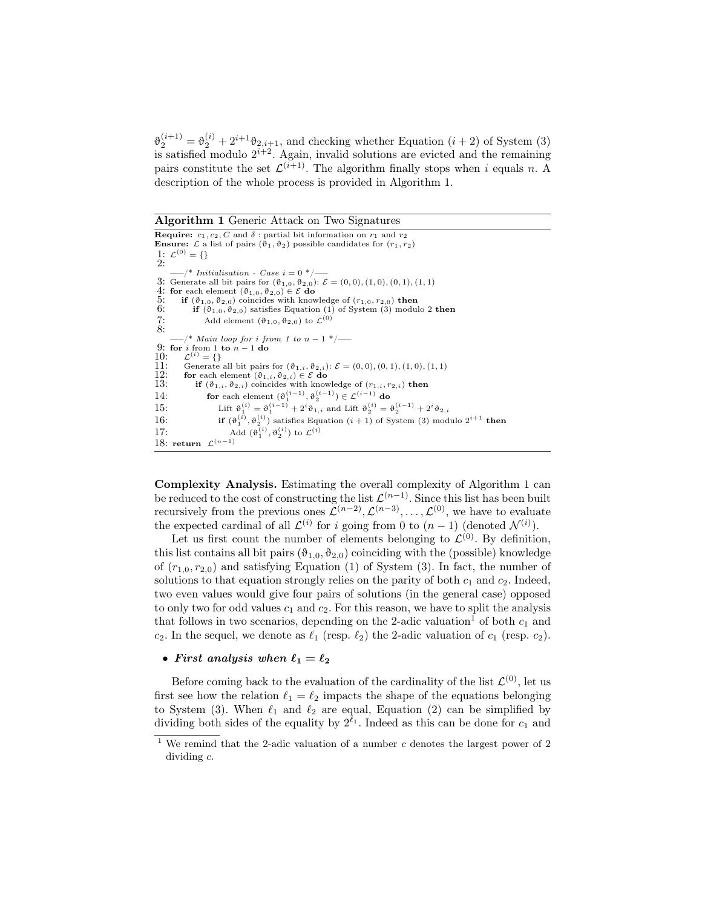$\vartheta_2^{(i+1)} = \vartheta_2^{(i)} + 2^{i+1}\vartheta_{2,i+1}$ , and checking whether Equation  $(i+2)$  of System (3) is satisfied modulo  $2^{i+2}$ . Again, invalid solutions are evicted and the remaining pairs constitute the set  $\mathcal{L}^{(i+1)}$ . The algorithm finally stops when i equals n. A description of the whole process is provided in Algorithm 1.

Algorithm 1 Generic Attack on Two Signatures

**Require:**  $c_1, c_2, C$  and  $\delta$ : partial bit information on  $r_1$  and  $r_2$ **Ensure:**  $\mathcal{L}$  a list of pairs  $(\vartheta_1, \vartheta_2)$  possible candidates for  $(r_1, r_2)$ 1:  $\mathcal{L}^{(0)} = \{\}$ 2:  $\frac{-}{3}$ : Generate all bit pairs for  $(\vartheta_{1,0}, \vartheta_{2,0})$ :  $\mathcal{E} = (0,0), (1,0), (0,1), (1,1)$ 4: for each element  $(\vartheta_{1,0}, \vartheta_{2,0}) \in \mathcal{E}$  do<br>5: if  $(\vartheta_{1,0}, \vartheta_{2,0})$  coincides with know 5: if  $(\vartheta_{1,0}, \vartheta_{2,0})$  coincides with knowledge of  $(r_{1,0}, r_{2,0})$  then<br>6: if  $(\vartheta_{1,0}, \vartheta_{2,0})$  satisfies Equation (1) of System (3) modul if  $(\vartheta_{1,0}, \vartheta_{2,0})$  satisfies Equation (1) of System (3) modulo 2 then 7: Add element  $(\vartheta_{1,0}, \vartheta_{2,0})$  to  $\mathcal{L}^{(0)}$  $7:8:$  $/$ \* Main loop for i from 1 to n − 1 \*/ $\rightarrow$ 9: for *i* from 1 to  $n - 1$  do 10:  $\mathcal{L}^{(i)} = \{\}$ 11: Generate all bit pairs for  $(\vartheta_{1,i}, \vartheta_{2,i})$ :  $\mathcal{E} = (0,0), (0,1), (1,0), (1,1)$ <br>12: for each element  $(\vartheta_{1,i}, \vartheta_{2,i}) \in \mathcal{E}$  do 12: for each element  $(\theta_{1,i}, \theta_{2,i}) \in \mathcal{E}$  do<br>13: if  $(\theta_{1,i}, \theta_{2,i})$  coincides with knowledge of  $(r_{1,i}, r_{2,i})$  then 14: for each element  $(\vartheta_1^{(i-1)}, \vartheta_2^{(i-1)}) \in \mathcal{L}^{(i-1)}$  do 15: Lift  $\vartheta_1^{(i)} = \vartheta_1^{(i-1)} + 2^i \vartheta_{1,i}$  and Lift  $\vartheta_2^{(i)} = \vartheta_2^{(i-1)} + 2^i \vartheta_{2,i}$ 16: **if**  $(\vartheta_1^{(i)}, \vartheta_2^{(i)})$  satisfies Equation  $(i + 1)$  of System (3) modulo  $2^{i+1}$  then 17: Add  $(\vartheta_1^{(i)}, \vartheta_2^{(i)})$  to  $\mathcal{L}^{(i)}$ 18: return  $\mathcal{L}^{(n-1)}$ 

Complexity Analysis. Estimating the overall complexity of Algorithm 1 can be reduced to the cost of constructing the list  $\mathcal{L}^{(n-1)}$ . Since this list has been built recursively from the previous ones  $\mathcal{L}^{(n-2)}$ ,  $\mathcal{L}^{(n-3)}$ , ...,  $\mathcal{L}^{(0)}$ , we have to evaluate the expected cardinal of all  $\mathcal{L}^{(i)}$  for i going from 0 to  $(n-1)$  (denoted  $\mathcal{N}^{(i)}$ ).

Let us first count the number of elements belonging to  $\mathcal{L}^{(0)}$ . By definition, this list contains all bit pairs  $(\vartheta_{1,0}, \vartheta_{2,0})$  coinciding with the (possible) knowledge of  $(r_{1,0}, r_{2,0})$  and satisfying Equation (1) of System (3). In fact, the number of solutions to that equation strongly relies on the parity of both  $c_1$  and  $c_2$ . Indeed, two even values would give four pairs of solutions (in the general case) opposed to only two for odd values  $c_1$  and  $c_2$ . For this reason, we have to split the analysis that follows in two scenarios, depending on the 2-adic valuation<sup>1</sup> of both  $c_1$  and  $c_2$ . In the sequel, we denote as  $\ell_1$  (resp.  $\ell_2$ ) the 2-adic valuation of  $c_1$  (resp.  $c_2$ ).

#### • First analysis when  $\ell_1 = \ell_2$

Before coming back to the evaluation of the cardinality of the list  $\mathcal{L}^{(0)}$ , let us first see how the relation  $\ell_1 = \ell_2$  impacts the shape of the equations belonging to System (3). When  $\ell_1$  and  $\ell_2$  are equal, Equation (2) can be simplified by dividing both sides of the equality by  $2^{\ell_1}$ . Indeed as this can be done for  $c_1$  and

<sup>&</sup>lt;sup>1</sup> We remind that the 2-adic valuation of a number  $c$  denotes the largest power of 2 dividing c.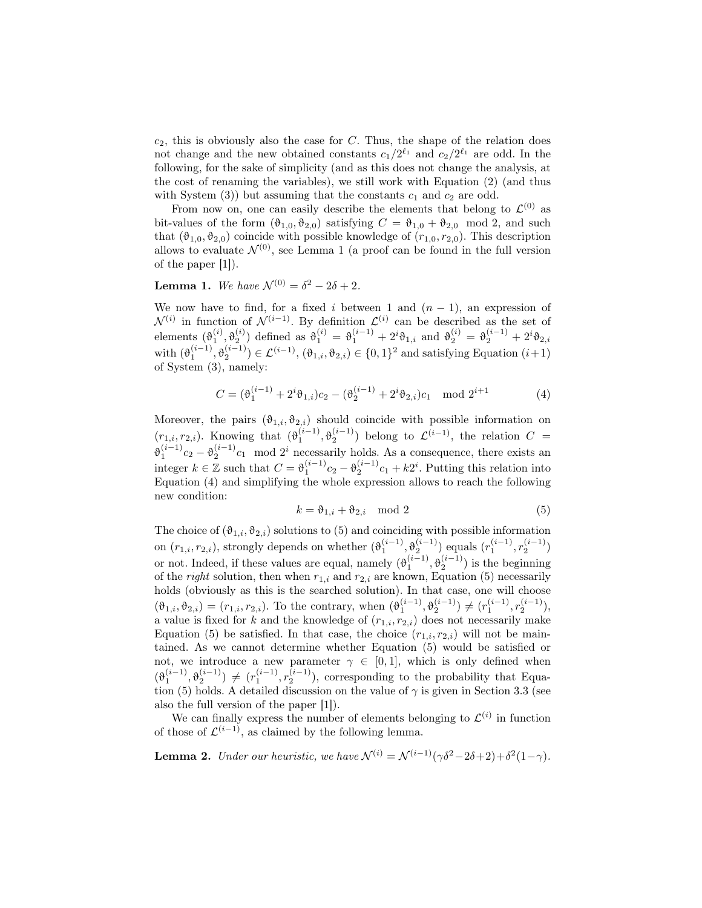$c_2$ , this is obviously also the case for  $C$ . Thus, the shape of the relation does not change and the new obtained constants  $c_1/2^{\ell_1}$  and  $c_2/2^{\ell_1}$  are odd. In the following, for the sake of simplicity (and as this does not change the analysis, at the cost of renaming the variables), we still work with Equation (2) (and thus with System  $(3)$ ) but assuming that the constants  $c_1$  and  $c_2$  are odd.

From now on, one can easily describe the elements that belong to  $\mathcal{L}^{(0)}$  as bit-values of the form  $(\vartheta_{1,0}, \vartheta_{2,0})$  satisfying  $C = \vartheta_{1,0} + \vartheta_{2,0} \mod 2$ , and such that  $(\vartheta_{1,0}, \vartheta_{2,0})$  coincide with possible knowledge of  $(r_{1,0}, r_{2,0})$ . This description allows to evaluate  $\mathcal{N}^{(0)}$ , see Lemma 1 (a proof can be found in the full version of the paper [1]).

**Lemma 1.** We have  $\mathcal{N}^{(0)} = \delta^2 - 2\delta + 2$ .

We now have to find, for a fixed i between 1 and  $(n-1)$ , an expression of  $\mathcal{N}^{(i)}$  in function of  $\mathcal{N}^{(i-1)}$ . By definition  $\mathcal{L}^{(i)}$  can be described as the set of elements  $(\vartheta_1^{(i)}, \vartheta_2^{(i)})$  defined as  $\vartheta_1^{(i)} = \vartheta_1^{(i-1)} + 2^i \vartheta_{1,i}$  and  $\vartheta_2^{(i)} = \vartheta_2^{(i-1)} + 2^i \vartheta_{2,i}$ with  $(\vartheta_1^{(i-1)}, \vartheta_2^{(i-1)}) \in \mathcal{L}^{(i-1)}$ ,  $(\vartheta_{1,i}, \vartheta_{2,i}) \in \{0,1\}^2$  and satisfying Equation  $(i+1)$ of System (3), namely:

$$
C = (\vartheta_1^{(i-1)} + 2^i \vartheta_{1,i})c_2 - (\vartheta_2^{(i-1)} + 2^i \vartheta_{2,i})c_1 \mod 2^{i+1}
$$
 (4)

Moreover, the pairs  $(\vartheta_{1,i}, \vartheta_{2,i})$  should coincide with possible information on  $(r_{1,i}, r_{2,i})$ . Knowing that  $(\vartheta_1^{(i-1)}, \vartheta_2^{(i-1)})$  belong to  $\mathcal{L}^{(i-1)}$ , the relation  $C =$  $\vartheta_1^{(i-1)}c_2 - \vartheta_2^{(i-1)}c_1$  mod 2<sup>i</sup> necessarily holds. As a consequence, there exists an integer  $k \in \mathbb{Z}$  such that  $C = \vartheta_1^{(i-1)}c_2 - \vartheta_2^{(i-1)}c_1 + k2^i$ . Putting this relation into Equation (4) and simplifying the whole expression allows to reach the following new condition:

$$
k = \vartheta_{1,i} + \vartheta_{2,i} \mod 2 \tag{5}
$$

The choice of  $(\vartheta_{1,i}, \vartheta_{2,i})$  solutions to (5) and coinciding with possible information on  $(r_{1,i}, r_{2,i})$ , strongly depends on whether  $(\vartheta_1^{(i-1)}, \vartheta_2^{(i-1)})$  equals  $(r_1^{(i-1)}, r_2^{(i-1)})$ or not. Indeed, if these values are equal, namely  $(\vartheta_1^{(i-1)}, \vartheta_2^{(i-1)})$  is the beginning of the *right* solution, then when  $r_{1,i}$  and  $r_{2,i}$  are known, Equation (5) necessarily holds (obviously as this is the searched solution). In that case, one will choose  $(\vartheta_{1,i}, \vartheta_{2,i}) = (r_{1,i}, r_{2,i}).$  To the contrary, when  $(\vartheta_1^{(i-1)}, \vartheta_2^{(i-1)}) \neq (r_1^{(i-1)}, r_2^{(i-1)}),$ a value is fixed for k and the knowledge of  $(r_{1,i}, r_{2,i})$  does not necessarily make Equation (5) be satisfied. In that case, the choice  $(r_{1,i}, r_{2,i})$  will not be maintained. As we cannot determine whether Equation (5) would be satisfied or not, we introduce a new parameter  $\gamma \in [0,1]$ , which is only defined when  $(\vartheta_1^{(i-1)}, \vartheta_2^{(i-1)}) \neq (r_1^{(i-1)}, r_2^{(i-1)})$ , corresponding to the probability that Equation (5) holds. A detailed discussion on the value of  $\gamma$  is given in Section 3.3 (see also the full version of the paper [1]).

We can finally express the number of elements belonging to  $\mathcal{L}^{(i)}$  in function of those of  $\mathcal{L}^{(i-1)}$ , as claimed by the following lemma.

**Lemma 2.** Under our heuristic, we have  $\mathcal{N}^{(i)} = \mathcal{N}^{(i-1)}(\gamma \delta^2 - 2\delta + 2) + \delta^2(1-\gamma)$ .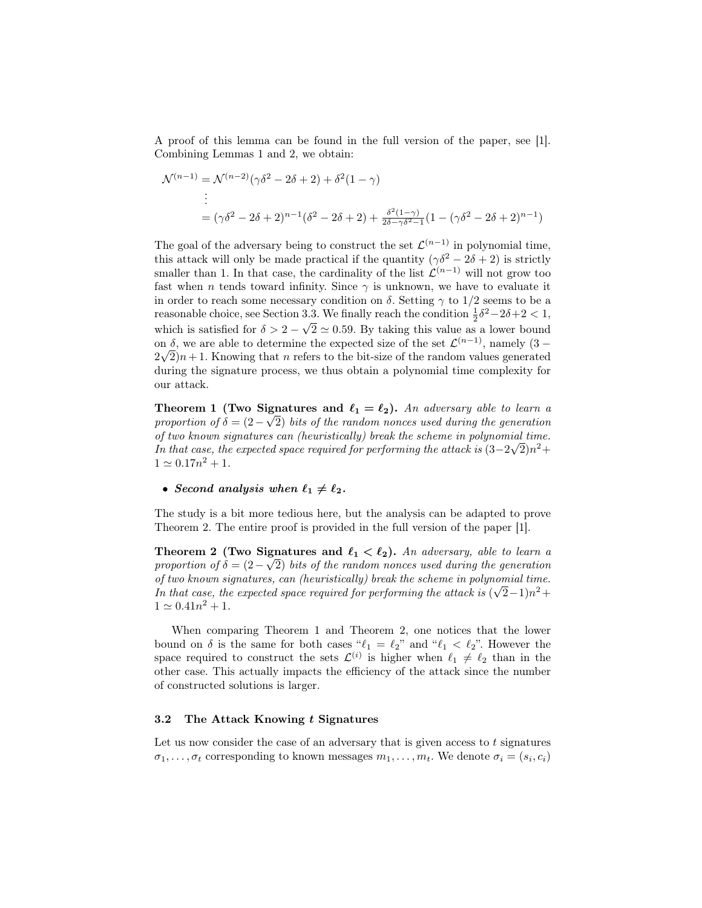A proof of this lemma can be found in the full version of the paper, see [1]. Combining Lemmas 1 and 2, we obtain:

$$
\mathcal{N}^{(n-1)} = \mathcal{N}^{(n-2)}(\gamma \delta^2 - 2\delta + 2) + \delta^2 (1 - \gamma)
$$
  
\n
$$
\vdots
$$
  
\n
$$
= (\gamma \delta^2 - 2\delta + 2)^{n-1} (\delta^2 - 2\delta + 2) + \frac{\delta^2 (1 - \gamma)}{2\delta - \gamma \delta^2 - 1} (1 - (\gamma \delta^2 - 2\delta + 2)^{n-1})
$$

The goal of the adversary being to construct the set  $\mathcal{L}^{(n-1)}$  in polynomial time, this attack will only be made practical if the quantity  $(\gamma \delta^2 - 2\delta + 2)$  is strictly smaller than 1. In that case, the cardinality of the list  $\mathcal{L}^{(n-1)}$  will not grow too fast when n tends toward infinity. Since  $\gamma$  is unknown, we have to evaluate it in order to reach some necessary condition on  $\delta$ . Setting  $\gamma$  to 1/2 seems to be a reasonable choice, see Section 3.3. We finally reach the condition  $\frac{1}{2}\delta^2 - 2\delta + 2 < 1$ , which is satisfied for  $\delta > 2$  – √  $2 \simeq 0.59$ . By taking this value as a lower bound on  $\delta$ , we are able to determine the expected size of the set  $\mathcal{L}^{(n-1)}$ , namely  $(3-\epsilon)$  $2\sqrt{2}$  $n+1$ . Knowing that *n* refers to the bit-size of the random values generated during the signature process, we thus obtain a polynomial time complexity for our attack.

**Theorem 1 (Two Signatures and**  $\ell_1 = \ell_2$ **).** An adversary able to learn a proportion of  $\delta = (2-\sqrt{2})$  bits of the random nonces used during the generation of two known signatures can (heuristically) break the scheme in polynomial time. In that case, the expected space required for performing the attack is  $(3-2\sqrt{2})n^2 +$  $1 \simeq 0.17n^2 + 1.$ 

• Second analysis when  $\ell_1 \neq \ell_2$ .

The study is a bit more tedious here, but the analysis can be adapted to prove Theorem 2. The entire proof is provided in the full version of the paper [1].

**Theorem 2** (Two Signatures and  $\ell_1 < \ell_2$ ). An adversary, able to learn a proportion of  $\delta = (2-\sqrt{2})$  bits of the random nonces used during the generation of two known signatures, can (heuristically) break the scheme in polynomial time. In that case, the expected space required for performing the attack is  $(\sqrt{2}-1)n^2 +$  $1 \simeq 0.41n^2 + 1.$ 

When comparing Theorem 1 and Theorem 2, one notices that the lower bound on  $\delta$  is the same for both cases " $\ell_1 = \ell_2$ " and " $\ell_1 < \ell_2$ ". However the space required to construct the sets  $\mathcal{L}^{(i)}$  is higher when  $\ell_1 \neq \ell_2$  than in the other case. This actually impacts the efficiency of the attack since the number of constructed solutions is larger.

#### 3.2 The Attack Knowing  $t$  Signatures

Let us now consider the case of an adversary that is given access to  $t$  signatures  $\sigma_1, \ldots, \sigma_t$  corresponding to known messages  $m_1, \ldots, m_t$ . We denote  $\sigma_i = (s_i, c_i)$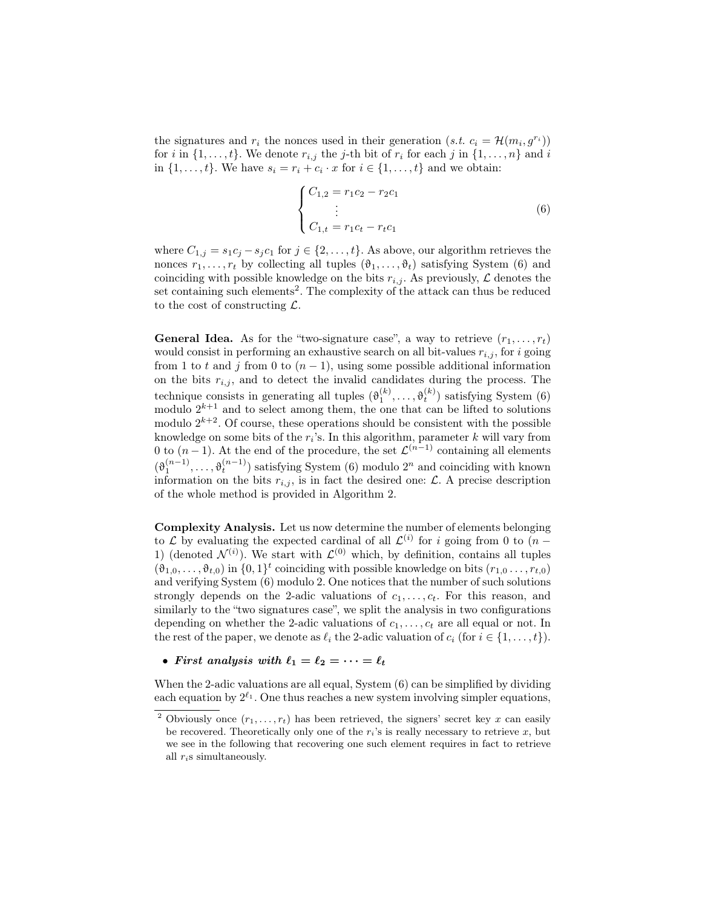the signatures and  $r_i$  the nonces used in their generation  $(s.t. c_i = \mathcal{H}(m_i, g^{r_i}))$ for i in  $\{1, \ldots, t\}$ . We denote  $r_{i,j}$  the j-th bit of  $r_i$  for each j in  $\{1, \ldots, n\}$  and i in  $\{1, \ldots, t\}$ . We have  $s_i = r_i + c_i \cdot x$  for  $i \in \{1, \ldots, t\}$  and we obtain:

$$
\begin{cases}\nC_{1,2} = r_1 c_2 - r_2 c_1 \\
\vdots \\
C_{1,t} = r_1 c_t - r_t c_1\n\end{cases}
$$
\n(6)

where  $C_{1,j} = s_1 c_j - s_j c_1$  for  $j \in \{2, ..., t\}$ . As above, our algorithm retrieves the nonces  $r_1, \ldots, r_t$  by collecting all tuples  $(\vartheta_1, \ldots, \vartheta_t)$  satisfying System (6) and coinciding with possible knowledge on the bits  $r_{i,j}$ . As previously,  $\mathcal L$  denotes the set containing such elements<sup>2</sup>. The complexity of the attack can thus be reduced to the cost of constructing  $\mathcal{L}$ .

**General Idea.** As for the "two-signature case", a way to retrieve  $(r_1, \ldots, r_t)$ would consist in performing an exhaustive search on all bit-values  $r_{i,j}$ , for i going from 1 to t and j from 0 to  $(n-1)$ , using some possible additional information on the bits  $r_{i,j}$ , and to detect the invalid candidates during the process. The technique consists in generating all tuples  $(\theta_1^{(k)}, \ldots, \theta_t^{(k)})$  satisfying System (6) modulo  $2^{k+1}$  and to select among them, the one that can be lifted to solutions modulo  $2^{k+2}$ . Of course, these operations should be consistent with the possible knowledge on some bits of the  $r_i$ 's. In this algorithm, parameter k will vary from 0 to  $(n-1)$ . At the end of the procedure, the set  $\mathcal{L}^{(n-1)}$  containing all elements  $(\vartheta_1^{(n-1)}, \ldots, \vartheta_t^{(n-1)})$  satisfying System (6) modulo  $2^n$  and coinciding with known information on the bits  $r_{i,j}$ , is in fact the desired one:  $\mathcal{L}$ . A precise description of the whole method is provided in Algorithm 2.

Complexity Analysis. Let us now determine the number of elements belonging to  $\mathcal L$  by evaluating the expected cardinal of all  $\mathcal L^{(i)}$  for i going from 0 to  $(n -$ 1) (denoted  $\mathcal{N}^{(i)}$ ). We start with  $\mathcal{L}^{(0)}$  which, by definition, contains all tuples  $(\vartheta_{1,0},\ldots,\vartheta_{t,0})$  in  $\{0,1\}^t$  coinciding with possible knowledge on bits  $(r_{1,0},\ldots,r_{t,0})$ and verifying System (6) modulo 2. One notices that the number of such solutions strongly depends on the 2-adic valuations of  $c_1, \ldots, c_t$ . For this reason, and similarly to the "two signatures case", we split the analysis in two configurations depending on whether the 2-adic valuations of  $c_1, \ldots, c_t$  are all equal or not. In the rest of the paper, we denote as  $\ell_i$  the 2-adic valuation of  $c_i$  (for  $i \in \{1, \ldots, t\}$ ).

• First analysis with  $\ell_1 = \ell_2 = \cdots = \ell_t$ 

When the 2-adic valuations are all equal, System (6) can be simplified by dividing each equation by  $2^{\ell_1}$ . One thus reaches a new system involving simpler equations,

<sup>&</sup>lt;sup>2</sup> Obviously once  $(r_1, \ldots, r_t)$  has been retrieved, the signers' secret key x can easily be recovered. Theoretically only one of the  $r_i$ 's is really necessary to retrieve x, but we see in the following that recovering one such element requires in fact to retrieve all  $r_i$ s simultaneously.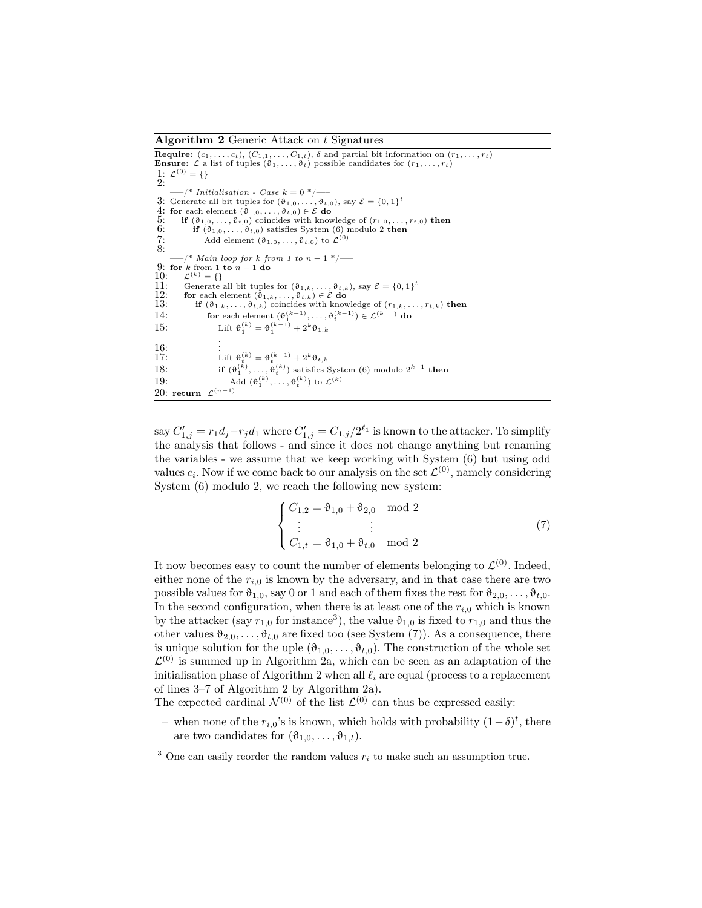Algorithm 2 Generic Attack on t Signatures

**Require:**  $(c_1, \ldots, c_t)$ ,  $(C_{1,1}, \ldots, C_{1,t})$ ,  $\delta$  and partial bit information on  $(r_1, \ldots, r_t)$ <br>**Ensure:**  $\mathcal L$  a list of tuples  $(\vartheta_1, \ldots, \vartheta_t)$  possible candidates for  $(r_1, \ldots, r_t)$ 1:  $\mathcal{L}^{(0)} = \{\}$ 2:  $-$ /\* Initialisation - Case  $k = 0$  \*/-3: Generate all bit tuples for  $(\vartheta_{1,0},\ldots,\vartheta_{t,0}),$  say  $\mathcal{E} = \{0,1\}^t$ 4: for each element  $(\hat{\theta}_{1,0}, \ldots, \hat{\theta}_{t,0}) \in \mathcal{E}$  do<br>5: if  $(\theta_{1,0}, \ldots, \theta_{t,0})$  coincides with knowledge of  $(r_{1,0}, \ldots, r_{t,0})$  then 6: if  $(\vartheta_{1,0}, \ldots, \vartheta_{t,0})$  satisfies System (6) modulo 2 then 7: Add element  $(\vartheta_{1,0},\ldots,\vartheta_{t,0})$  to  $\mathcal{L}^{(0)}$  $7:8:$  $\mathcal{N}^*$  Main loop for k from 1 to  $n-1$  \*/ $\longrightarrow$ 9: for k from 1 to  $n - 1$  do 10:  $\mathcal{L}^{(k)} = \{\}$ 11: Generate all bit tuples for  $(\vartheta_{1,k}, \ldots, \vartheta_{t,k})$ , say  $\mathcal{E} = \{0, 1\}^t$ <br>
12: **for** each element  $(\vartheta_{1,k}, \ldots, \vartheta_{t,k}) \in \mathcal{E}$  **do**<br>
13: **if**  $(\vartheta_{1,k}, \ldots, \vartheta_{t,k})$  coincides with knowledge of  $(r_{1,k}, \ldots, r_{t,k})$  **then** 14: for each element  $(\vartheta_1^{(k-1)}, \ldots, \vartheta_t^{(k-1)}) \in \mathcal{L}^{(k-1)}$  do 15: Lift  $\vartheta_1^{(k)} = \vartheta_1^{(k-1)} + 2^k \vartheta_{1,k}$  $\frac{16}{17}$ : . . 16:  $\lim_{k \to \infty} \frac{1}{k} \cdot \text{left } \theta_t^{(k)} = \theta_t^{(k-1)} + 2^k \theta_{t,k}$ 18: **if**  $(\vartheta_1^{(k)}, \ldots, \vartheta_t^{(k)})$  satisfies System (6) modulo  $2^{k+1}$  **then** 19: Add  $(\vartheta_1^{(k)}, \ldots, \vartheta_t^{(k)})$  to  $\mathcal{L}^{(k)}$ 20: return  $\mathcal{L}^{(n-1)}$ 

say  $C'_{1,j} = r_1 d_j - r_j d_1$  where  $C'_{1,j} = C_{1,j}/2^{\ell_1}$  is known to the attacker. To simplify the analysis that follows - and since it does not change anything but renaming the variables - we assume that we keep working with System (6) but using odd values  $c_i$ . Now if we come back to our analysis on the set  $\mathcal{L}^{(0)}$ , namely considering System (6) modulo 2, we reach the following new system:

$$
\begin{cases}\nC_{1,2} = \vartheta_{1,0} + \vartheta_{2,0} \mod 2 \\
\vdots \qquad \vdots \\
C_{1,t} = \vartheta_{1,0} + \vartheta_{t,0} \mod 2\n\end{cases}
$$
\n(7)

It now becomes easy to count the number of elements belonging to  $\mathcal{L}^{(0)}$ . Indeed, either none of the  $r_{i,0}$  is known by the adversary, and in that case there are two possible values for  $\vartheta_{1,0}$ , say 0 or 1 and each of them fixes the rest for  $\vartheta_{2,0}, \ldots, \vartheta_{t,0}$ . In the second configuration, when there is at least one of the  $r_{i,0}$  which is known by the attacker (say  $r_{1,0}$  for instance<sup>3</sup>), the value  $\vartheta_{1,0}$  is fixed to  $r_{1,0}$  and thus the other values  $\vartheta_{2,0}, \ldots, \vartheta_{t,0}$  are fixed too (see System (7)). As a consequence, there is unique solution for the uple  $(\vartheta_{1,0}, \ldots, \vartheta_{t,0})$ . The construction of the whole set  $\mathcal{L}^{(0)}$  is summed up in Algorithm 2a, which can be seen as an adaptation of the initialisation phase of Algorithm 2 when all  $\ell_i$  are equal (process to a replacement of lines 3–7 of Algorithm 2 by Algorithm 2a).

The expected cardinal  $\mathcal{N}^{(0)}$  of the list  $\mathcal{L}^{(0)}$  can thus be expressed easily:

– when none of the  $r_{i,0}$ 's is known, which holds with probability  $(1 - δ)<sup>t</sup>$ , there are two candidates for  $(\theta_{1,0}, \ldots, \theta_{1,t}).$ 

<sup>&</sup>lt;sup>3</sup> One can easily reorder the random values  $r_i$  to make such an assumption true.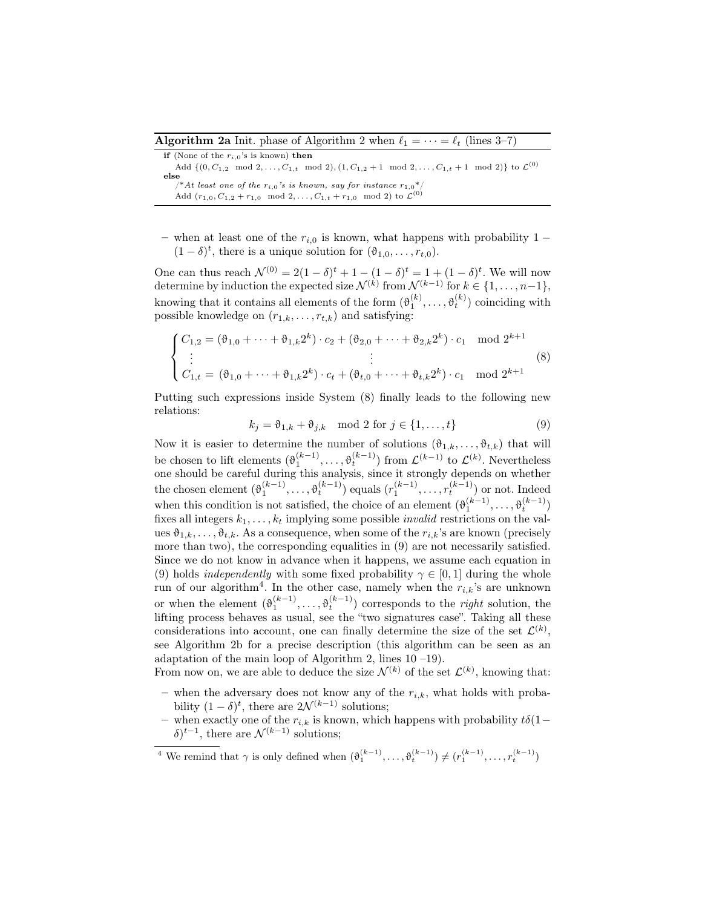**Algorithm 2a** Init. phase of Algorithm 2 when  $\ell_1 = \cdots = \ell_t$  (lines 3–7)

if (None of the  $r_{i,0}$ 's is known) then Add  $\{(0, C_{1,2} \mod 2, \ldots, C_{1,t} \mod 2), (1, C_{1,2}+1 \mod 2, \ldots, C_{1,t}+1 \mod 2)\}\)$  to  $\mathcal{L}^{(0)}$ **else**<br>  $/*At least one of the r<sub>i,0</sub>'s is known, say for instance  $r_{1,0}^*/$$ Add  $(r_{1,0}, C_{1,2} + r_{1,0} \mod 2, \ldots, C_{1,t} + r_{1,0} \mod 2)$  to  $\mathcal{L}^{(0)}$ 

– when at least one of the  $r_{i,0}$  is known, what happens with probability 1 –  $(1 - \delta)^t$ , there is a unique solution for  $(\vartheta_{1,0}, \ldots, r_{t,0})$ .

One can thus reach  $\mathcal{N}^{(0)} = 2(1 - \delta)^t + 1 - (1 - \delta)^t = 1 + (1 - \delta)^t$ . We will now determine by induction the expected size  $\mathcal{N}^{(k)}$  from  $\mathcal{N}^{(k-1)}$  for  $k \in \{1, \ldots, n-1\}$ , knowing that it contains all elements of the form  $(\theta_1^{(k)}, \ldots, \theta_t^{(k)})$  coinciding with possible knowledge on  $(r_{1,k}, \ldots, r_{t,k})$  and satisfying:

$$
\begin{cases} C_{1,2} = (\vartheta_{1,0} + \dots + \vartheta_{1,k} 2^k) \cdot c_2 + (\vartheta_{2,0} + \dots + \vartheta_{2,k} 2^k) \cdot c_1 \mod 2^{k+1} \\ \vdots \\ C_{1,t} = (\vartheta_{1,0} + \dots + \vartheta_{1,k} 2^k) \cdot c_t + (\vartheta_{t,0} + \dots + \vartheta_{t,k} 2^k) \cdot c_1 \mod 2^{k+1} \end{cases} (8)
$$

Putting such expressions inside System (8) finally leads to the following new relations:

 $k_j = \vartheta_{1,k} + \vartheta_{j,k} \mod 2 \text{ for } j \in \{1, ..., t\}$  (9)

Now it is easier to determine the number of solutions  $(\vartheta_{1,k},\ldots,\vartheta_{t,k})$  that will be chosen to lift elements  $(\vartheta_1^{(k-1)}, \ldots, \vartheta_t^{(k-1)})$  from  $\mathcal{L}^{(k-1)}$  to  $\mathcal{L}^{(k)}$ . Nevertheless one should be careful during this analysis, since it strongly depends on whether the chosen element  $(\vartheta_1^{(k-1)}, \ldots, \vartheta_t^{(k-1)})$  equals  $(r_1^{(k-1)}, \ldots, r_t^{(k-1)})$  or not. Indeed when this condition is not satisfied, the choice of an element  $(\theta_1^{(k-1)}, \ldots, \theta_t^{(k-1)})$ fixes all integers  $k_1, \ldots, k_t$  implying some possible *invalid* restrictions on the values  $\vartheta_{1,k}, \ldots, \vartheta_{t,k}$ . As a consequence, when some of the  $r_{i,k}$ 's are known (precisely more than two), the corresponding equalities in (9) are not necessarily satisfied. Since we do not know in advance when it happens, we assume each equation in (9) holds *independently* with some fixed probability  $\gamma \in [0, 1]$  during the whole run of our algorithm<sup>4</sup>. In the other case, namely when the  $r_{i,k}$ 's are unknown or when the element  $(\vartheta_1^{(k-1)}, \ldots, \vartheta_t^{(k-1)})$  corresponds to the *right* solution, the lifting process behaves as usual, see the "two signatures case". Taking all these considerations into account, one can finally determine the size of the set  $\mathcal{L}^{(k)}$ , see Algorithm 2b for a precise description (this algorithm can be seen as an adaptation of the main loop of Algorithm 2, lines  $10 - 19$ ).

From now on, we are able to deduce the size  $\mathcal{N}^{(k)}$  of the set  $\mathcal{L}^{(k)}$ , knowing that: – when the adversary does not know any of the  $r_{i,k}$ , what holds with proba-

- bility  $(1 \delta)^t$ , there are  $2\mathcal{N}^{(k-1)}$  solutions;
- when exactly one of the  $r_{i,k}$  is known, which happens with probability  $t\delta(1-\epsilon)$  $\delta$ )<sup>t-1</sup>, there are  $\mathcal{N}^{(k-1)}$  solutions;

<sup>4</sup> We remind that  $\gamma$  is only defined when  $(\vartheta_1^{(k-1)}, \ldots, \vartheta_t^{(k-1)}) \neq (r_1^{(k-1)}, \ldots, r_t^{(k-1)})$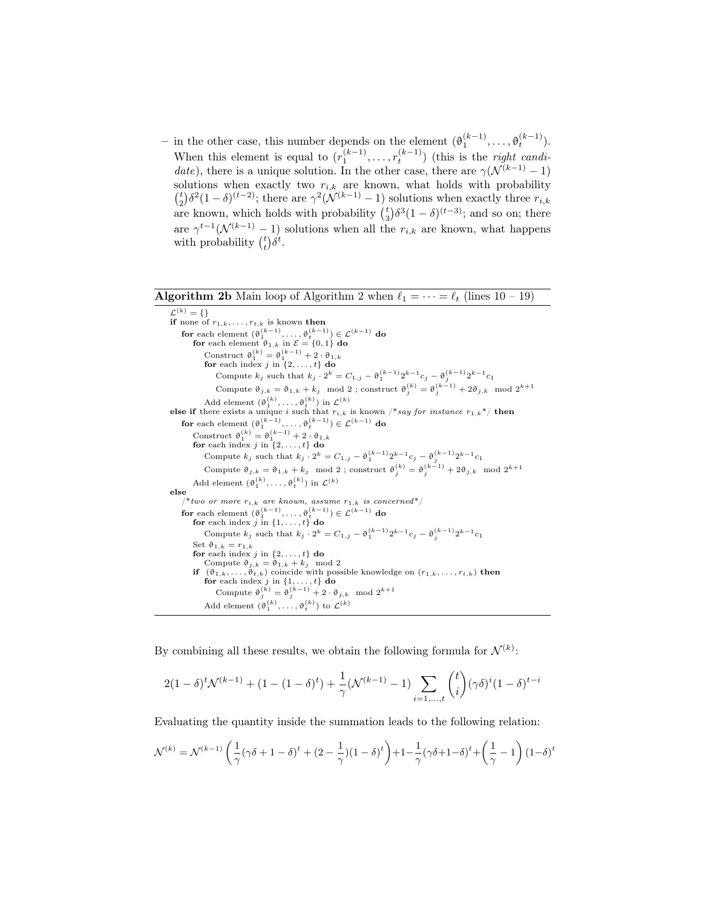– in the other case, this number depends on the element  $(θ<sub>1</sub><sup>(k-1)</sup>, ..., θ<sub>t</sub><sup>(k-1)</sup>).$ When this element is equal to  $(r_1^{(k-1)}, \ldots, r_t^{(k-1)})$  (this is the *right candi*date), there is a unique solution. In the other case, there are  $\gamma(\mathcal{N}^{(k-1)}-1)$ solutions when exactly two  $r_{i,k}$  are known, what holds with probability  $\binom{t}{2} \delta^2 (1-\delta)^{(t-2)}$ ; there are  $\gamma^2(\mathcal{N}^{(k-1)}-1)$  solutions when exactly three  $r_{i,k}$ are known, which holds with probability  $\binom{t}{3} \delta^3 (1 - \delta)^{(t-3)}$ ; and so on; there are  $\gamma^{t-1}(\mathcal{N}^{(k-1)}-1)$  solutions when all the  $r_{i,k}$  are known, what happens with probability  $\binom{t}{t} \delta^t$ .

**Algorithm 2b** Main loop of Algorithm 2 when  $\ell_1 = \cdots = \ell_t$  (lines 10 – 19)

 $\mathcal{L}^{(k)} = \{ \}$ if none of  $r_{1,k}, \ldots, r_{t,k}$  is known then for each element  $(\vartheta_1^{(k-1)}, \ldots, \vartheta_t^{(k-1)}) \in \mathcal{L}^{(k-1)}$  do for each element  $\vartheta_{1,k}$  in  $\mathcal{E} = \{0,1\}$  do Construct  $\vartheta_1^{(k)} = \vartheta_1^{(k-1)} + 2 \cdot \vartheta_{1,k}$ for each index j in  $\{2, \ldots, t\}$  do Compute  $k_j$  such that  $k_j \cdot 2^k = C_{1,j} - \vartheta_1^{(k-1)} 2^{k-1} c_j - \vartheta_j^{(k-1)} 2^{k-1} c_1$ Compute  $\vartheta_{j,k} = \vartheta_{1,k} + k_j \mod 2$ ; construct  $\vartheta_j^{(k)} = \vartheta_j^{(k-1)} + 2\vartheta_{j,k} \mod 2^{k+1}$ Add element  $(\vartheta_1^{(k)}, \ldots, \vartheta_t^{(k)})$  in  $\mathcal{L}^{(k)}$ else if there exists a unique i such that  $r_{i,k}$  is known /\*say for instance  $r_{1,k}$ \*/ then for each element  $(\vartheta_1^{(k-1)}, \ldots, \vartheta_t^{(k-1)}) \in \mathcal{L}^{(k-1)}$  do Construct  $\vartheta_1^{(k)} = \vartheta_1^{(k-1)} + 2 \cdot \vartheta_{1,k}$ <br>
for each index j in {2,...,t} do Compute  $k_j$  such that  $k_j \cdot 2^k = C_{1,j} - \vartheta_1^{(k-1)} 2^{k-1} c_j - \vartheta_j^{(k-1)} 2^{k-1} c_1$ Compute  $\vartheta_{j,k} = \vartheta_{1,k} + k_j \mod 2$ ; construct  $\vartheta_j^{(k)} = \vartheta_j^{(k-1)} + 2\vartheta_{j,k} \mod 2^{k+1}$ Add element  $(\vartheta_1^{(k)}, \ldots, \vartheta_t^{(k)})$  in  $\mathcal{L}^{(k)}$ else \*two or more  $r_{i,k}$  are known, assume  $r_{1,k}$  is concerned\*/ for each element  $(\vartheta_1^{(k-1)}, \ldots, \vartheta_t^{(k-1)}) \in \mathcal{L}^{(k-1)}$  do for each index  $j$  in  $\{1, \ldots, t\}$  do Compute  $k_j$  such that  $k_j \cdot 2^k = C_{1,j} - \vartheta_1^{(k-1)} 2^{k-1} c_j - \vartheta_j^{(k-1)} 2^{k-1} c_1$ Set  $\vartheta_{1,k} = r_{1,k}$ for each index j in  $\{2, \ldots, t\}$  do Compute  $\vartheta_{j,k} = \vartheta_{1,k} + k_j \mod 2$ <br> **if**  $(\vartheta_{1,k}, \ldots, \vartheta_{t,k})$  coincide with possible knowledge on  $(r_{1,k}, \ldots, r_{t,k})$  then for each index j in  $\{1, \ldots, t\}$  do Compute  $\vartheta_j^{(k)} = \vartheta_j^{(k-1)} + 2 \cdot \vartheta_{j,k} \mod 2^{k+1}$ Add element  $(\vartheta_1^{(k)}, \ldots, \vartheta_t^{(k)})$  to  $\mathcal{L}^{(k)}$ 

By combining all these results, we obtain the following formula for  $\mathcal{N}^{(k)}$ :

$$
2(1-\delta)^{t} \mathcal{N}^{(k-1)} + (1-(1-\delta)^{t}) + \frac{1}{\gamma} (\mathcal{N}^{(k-1)} - 1) \sum_{i=1,\dots,t} {t \choose i} (\gamma \delta)^{i} (1-\delta)^{t-i}
$$

Evaluating the quantity inside the summation leads to the following relation:

$$
\mathcal{N}^{(k)} = \mathcal{N}^{(k-1)} \left( \frac{1}{\gamma} (\gamma \delta + 1 - \delta)^t + (2 - \frac{1}{\gamma}) (1 - \delta)^t \right) + 1 - \frac{1}{\gamma} (\gamma \delta + 1 - \delta)^t + \left( \frac{1}{\gamma} - 1 \right) (1 - \delta)^t
$$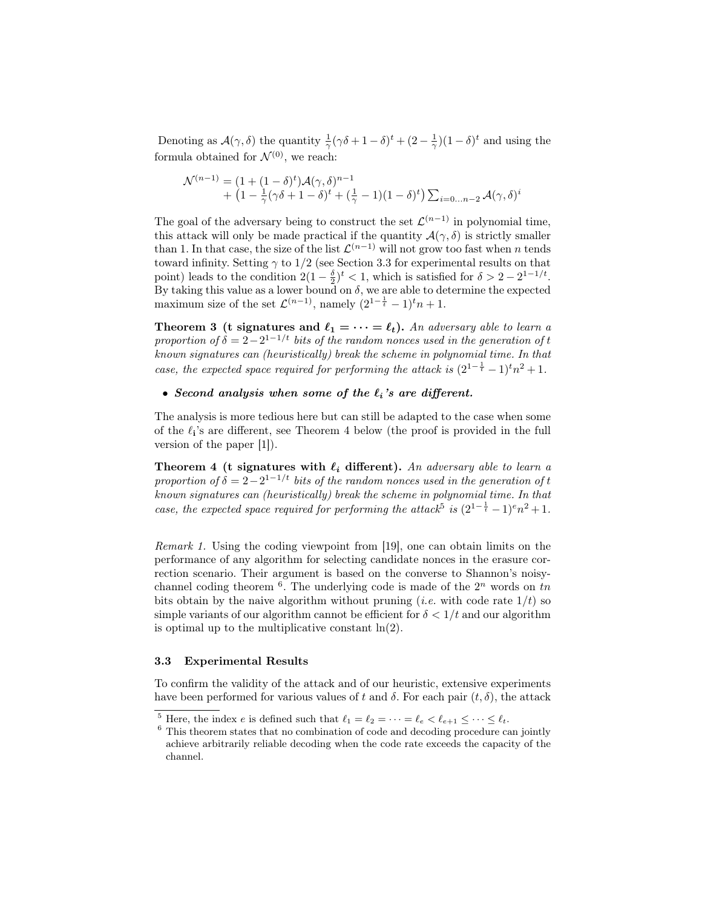Denoting as  $\mathcal{A}(\gamma,\delta)$  the quantity  $\frac{1}{\gamma}(\gamma\delta+1-\delta)^t+(2-\frac{1}{\gamma})(1-\delta)^t$  and using the formula obtained for  $\mathcal{N}^{(0)}$ , we reach:

$$
\mathcal{N}^{(n-1)} = (1 + (1 - \delta)^t)\mathcal{A}(\gamma, \delta)^{n-1} + (1 - \frac{1}{\gamma}(\gamma\delta + 1 - \delta)^t + (\frac{1}{\gamma} - 1)(1 - \delta)^t) \sum_{i=0...n-2} \mathcal{A}(\gamma, \delta)^i
$$

The goal of the adversary being to construct the set  $\mathcal{L}^{(n-1)}$  in polynomial time, this attack will only be made practical if the quantity  $\mathcal{A}(\gamma,\delta)$  is strictly smaller than 1. In that case, the size of the list  $\mathcal{L}^{(n-1)}$  will not grow too fast when n tends toward infinity. Setting  $\gamma$  to 1/2 (see Section 3.3 for experimental results on that point) leads to the condition  $2(1-\frac{\delta}{2})^t < 1$ , which is satisfied for  $\delta > 2 - 2^{1-1/t}$ . By taking this value as a lower bound on  $\delta$ , we are able to determine the expected maximum size of the set  $\mathcal{L}^{(n-1)}$ , namely  $(2^{1-\frac{1}{t}}-1)^{t}n+1$ .

**Theorem 3** (t signatures and  $\ell_1 = \cdots = \ell_t$ ). An adversary able to learn a proportion of  $\delta = 2 - 2^{1-1/t}$  bits of the random nonces used in the generation of t known signatures can (heuristically) break the scheme in polynomial time. In that case, the expected space required for performing the attack is  $(2^{1-\frac{1}{t}}-1)^{t}n^{2}+1$ .

### • Second analysis when some of the  $\ell_i$ 's are different.

The analysis is more tedious here but can still be adapted to the case when some of the  $\ell_i$ 's are different, see Theorem 4 below (the proof is provided in the full version of the paper [1]).

Theorem 4 (t signatures with  $\ell_i$  different). An adversary able to learn a proportion of  $\delta = 2 - 2^{1-1/t}$  bits of the random nonces used in the generation of t known signatures can (heuristically) break the scheme in polynomial time. In that case, the expected space required for performing the attack<sup>5</sup> is  $(2^{1-\frac{1}{t}}-1)^{e}n^2+1$ .

Remark 1. Using the coding viewpoint from [19], one can obtain limits on the performance of any algorithm for selecting candidate nonces in the erasure correction scenario. Their argument is based on the converse to Shannon's noisychannel coding theorem  $6$ . The underlying code is made of the  $2^n$  words on  $tn$ bits obtain by the naive algorithm without pruning (*i.e.* with code rate  $1/t$ ) so simple variants of our algorithm cannot be efficient for  $\delta < 1/t$  and our algorithm is optimal up to the multiplicative constant  $ln(2)$ .

#### 3.3 Experimental Results

To confirm the validity of the attack and of our heuristic, extensive experiments have been performed for various values of t and  $\delta$ . For each pair  $(t, \delta)$ , the attack

<sup>&</sup>lt;sup>5</sup> Here, the index *e* is defined such that  $\ell_1 = \ell_2 = \cdots = \ell_e < \ell_{e+1} \leq \cdots \leq \ell_t$ .

<sup>6</sup> This theorem states that no combination of code and decoding procedure can jointly achieve arbitrarily reliable decoding when the code rate exceeds the capacity of the channel.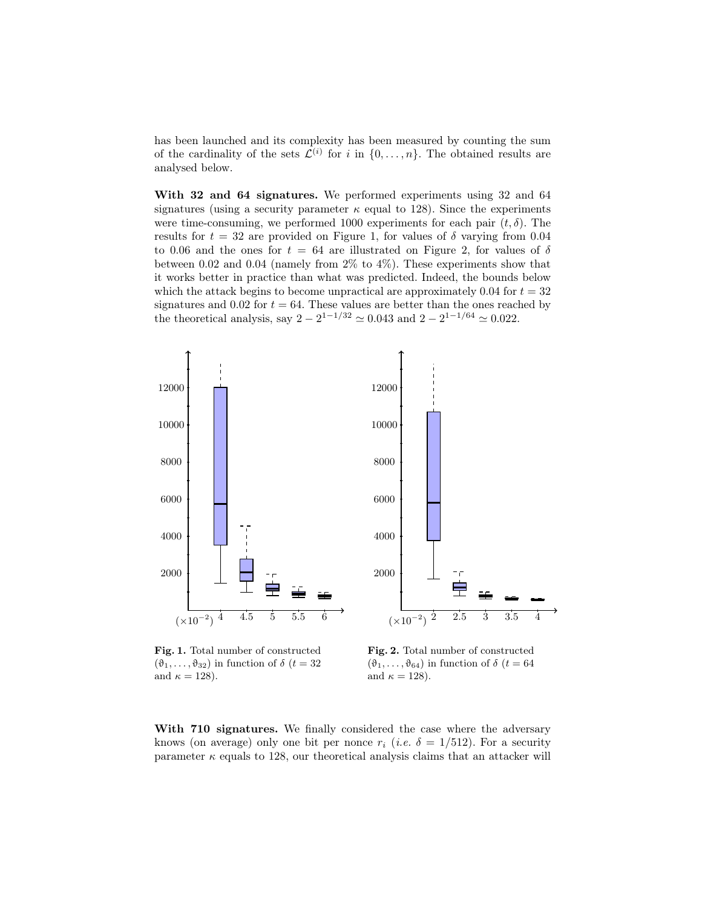has been launched and its complexity has been measured by counting the sum of the cardinality of the sets  $\mathcal{L}^{(i)}$  for i in  $\{0,\ldots,n\}$ . The obtained results are analysed below.

With 32 and 64 signatures. We performed experiments using 32 and 64 signatures (using a security parameter  $\kappa$  equal to 128). Since the experiments were time-consuming, we performed 1000 experiments for each pair  $(t, \delta)$ . The results for  $t = 32$  are provided on Figure 1, for values of  $\delta$  varying from 0.04 to 0.06 and the ones for  $t = 64$  are illustrated on Figure 2, for values of  $\delta$ between 0.02 and 0.04 (namely from  $2\%$  to  $4\%$ ). These experiments show that it works better in practice than what was predicted. Indeed, the bounds below which the attack begins to become unpractical are approximately 0.04 for  $t = 32$ signatures and 0.02 for  $t = 64$ . These values are better than the ones reached by the theoretical analysis, say  $2 - 2^{1 - 1/32} \approx 0.043$  and  $2 - 2^{1 - 1/64} \approx 0.022$ .



Fig. 1. Total number of constructed  $(\vartheta_1, \ldots, \vartheta_{32})$  in function of  $\delta$   $(t = 32)$ and  $\kappa = 128$ ).

Fig. 2. Total number of constructed  $(\vartheta_1, \ldots, \vartheta_{64})$  in function of  $\delta$  ( $t = 64$ ) and  $\kappa = 128$ ).

With 710 signatures. We finally considered the case where the adversary knows (on average) only one bit per nonce  $r_i$  (*i.e.*  $\delta = 1/512$ ). For a security parameter  $\kappa$  equals to 128, our theoretical analysis claims that an attacker will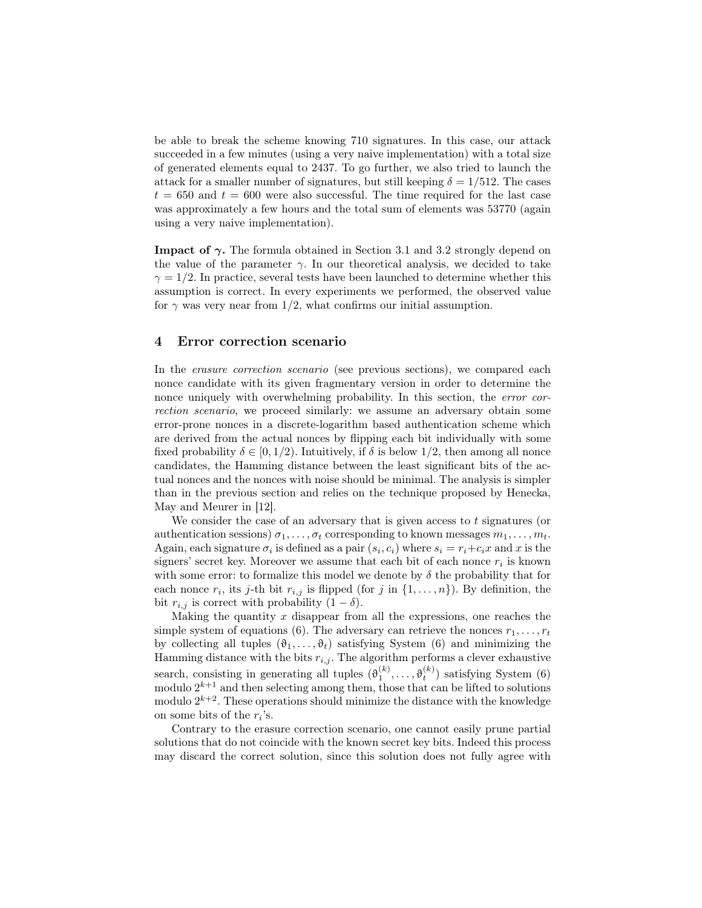be able to break the scheme knowing 710 signatures. In this case, our attack succeeded in a few minutes (using a very naive implementation) with a total size of generated elements equal to 2437. To go further, we also tried to launch the attack for a smaller number of signatures, but still keeping  $\delta = 1/512$ . The cases  $t = 650$  and  $t = 600$  were also successful. The time required for the last case was approximately a few hours and the total sum of elements was 53770 (again using a very naive implementation).

**Impact of**  $\gamma$ **.** The formula obtained in Section 3.1 and 3.2 strongly depend on the value of the parameter  $\gamma$ . In our theoretical analysis, we decided to take  $\gamma = 1/2$ . In practice, several tests have been launched to determine whether this assumption is correct. In every experiments we performed, the observed value for  $\gamma$  was very near from 1/2, what confirms our initial assumption.

#### 4 Error correction scenario

In the *erasure correction scenario* (see previous sections), we compared each nonce candidate with its given fragmentary version in order to determine the nonce uniquely with overwhelming probability. In this section, the error correction scenario, we proceed similarly: we assume an adversary obtain some error-prone nonces in a discrete-logarithm based authentication scheme which are derived from the actual nonces by flipping each bit individually with some fixed probability  $\delta \in [0, 1/2)$ . Intuitively, if  $\delta$  is below 1/2, then among all nonce candidates, the Hamming distance between the least significant bits of the actual nonces and the nonces with noise should be minimal. The analysis is simpler than in the previous section and relies on the technique proposed by Henecka, May and Meurer in [12].

We consider the case of an adversary that is given access to  $t$  signatures (or authentication sessions)  $\sigma_1, \ldots, \sigma_t$  corresponding to known messages  $m_1, \ldots, m_t$ . Again, each signature  $\sigma_i$  is defined as a pair  $(s_i, c_i)$  where  $s_i = r_i + c_i x$  and x is the signers' secret key. Moreover we assume that each bit of each nonce  $r_i$  is known with some error: to formalize this model we denote by  $\delta$  the probability that for each nonce  $r_i$ , its j-th bit  $r_{i,j}$  is flipped (for j in  $\{1,\ldots,n\}$ ). By definition, the bit  $r_{i,j}$  is correct with probability  $(1 - \delta)$ .

Making the quantity  $x$  disappear from all the expressions, one reaches the simple system of equations (6). The adversary can retrieve the nonces  $r_1, \ldots, r_t$ by collecting all tuples  $(\vartheta_1, \ldots, \vartheta_t)$  satisfying System (6) and minimizing the Hamming distance with the bits  $r_{i,j}$ . The algorithm performs a clever exhaustive search, consisting in generating all tuples  $(\theta_1^{(k)}, \ldots, \theta_t^{(k)})$  satisfying System (6) modulo  $2^{k+1}$  and then selecting among them, those that can be lifted to solutions modulo  $2^{k+2}$ . These operations should minimize the distance with the knowledge on some bits of the  $r_i$ 's.

Contrary to the erasure correction scenario, one cannot easily prune partial solutions that do not coincide with the known secret key bits. Indeed this process may discard the correct solution, since this solution does not fully agree with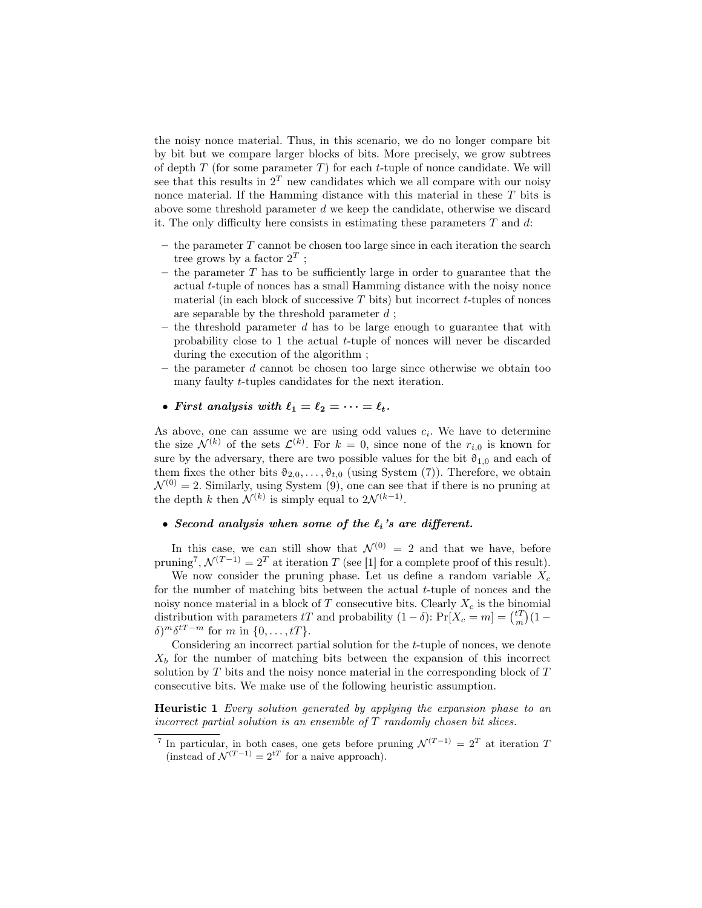the noisy nonce material. Thus, in this scenario, we do no longer compare bit by bit but we compare larger blocks of bits. More precisely, we grow subtrees of depth  $T$  (for some parameter  $T$ ) for each t-tuple of nonce candidate. We will see that this results in  $2^T$  new candidates which we all compare with our noisy nonce material. If the Hamming distance with this material in these T bits is above some threshold parameter  $d$  we keep the candidate, otherwise we discard it. The only difficulty here consists in estimating these parameters  $T$  and  $d$ :

- $-$  the parameter  $T$  cannot be chosen too large since in each iteration the search tree grows by a factor  $2^T$ ;
- $-$  the parameter T has to be sufficiently large in order to guarantee that the actual t-tuple of nonces has a small Hamming distance with the noisy nonce material (in each block of successive  $T$  bits) but incorrect  $t$ -tuples of nonces are separable by the threshold parameter  $d$ ;
- the threshold parameter  $d$  has to be large enough to guarantee that with probability close to 1 the actual t-tuple of nonces will never be discarded during the execution of the algorithm ;
- the parameter d cannot be chosen too large since otherwise we obtain too many faulty t-tuples candidates for the next iteration.

## • First analysis with  $\ell_1 = \ell_2 = \cdots = \ell_t$ .

As above, one can assume we are using odd values  $c_i$ . We have to determine the size  $\mathcal{N}^{(k)}$  of the sets  $\mathcal{L}^{(k)}$ . For  $k=0$ , since none of the  $r_{i,0}$  is known for sure by the adversary, there are two possible values for the bit  $\vartheta_{1,0}$  and each of them fixes the other bits  $\vartheta_{2,0}, \ldots, \vartheta_{t,0}$  (using System (7)). Therefore, we obtain  $\mathcal{N}^{(0)} = 2$ . Similarly, using System (9), one can see that if there is no pruning at the depth k then  $\mathcal{N}^{(k)}$  is simply equal to  $2\mathcal{N}^{(k-1)}$ .

# • Second analysis when some of the  $\ell_i$ 's are different.

In this case, we can still show that  $\mathcal{N}^{(0)} = 2$  and that we have, before pruning<sup>7</sup>,  $\mathcal{N}^{(T-1)} = 2^T$  at iteration T (see [1] for a complete proof of this result).

We now consider the pruning phase. Let us define a random variable  $X_c$ for the number of matching bits between the actual  $t$ -tuple of nonces and the noisy nonce material in a block of  $T$  consecutive bits. Clearly  $X_c$  is the binomial distribution with parameters tT and probability  $(1 - \delta)$ : Pr[ $X_c = m$ ] =  $\binom{t}{m}$  $(1 \delta)^m \delta^{tT-m}$  for m in  $\{0,\ldots,tT\}.$ 

Considering an incorrect partial solution for the t-tuple of nonces, we denote  $X<sub>b</sub>$  for the number of matching bits between the expansion of this incorrect solution by  $T$  bits and the noisy nonce material in the corresponding block of  $T$ consecutive bits. We make use of the following heuristic assumption.

Heuristic 1 Every solution generated by applying the expansion phase to an incorrect partial solution is an ensemble of  $T$  randomly chosen bit slices.

<sup>&</sup>lt;sup>7</sup> In particular, in both cases, one gets before pruning  $\mathcal{N}^{(T-1)} = 2^T$  at iteration T (instead of  $\mathcal{N}^{(T-1)} = 2^{tT}$  for a naive approach).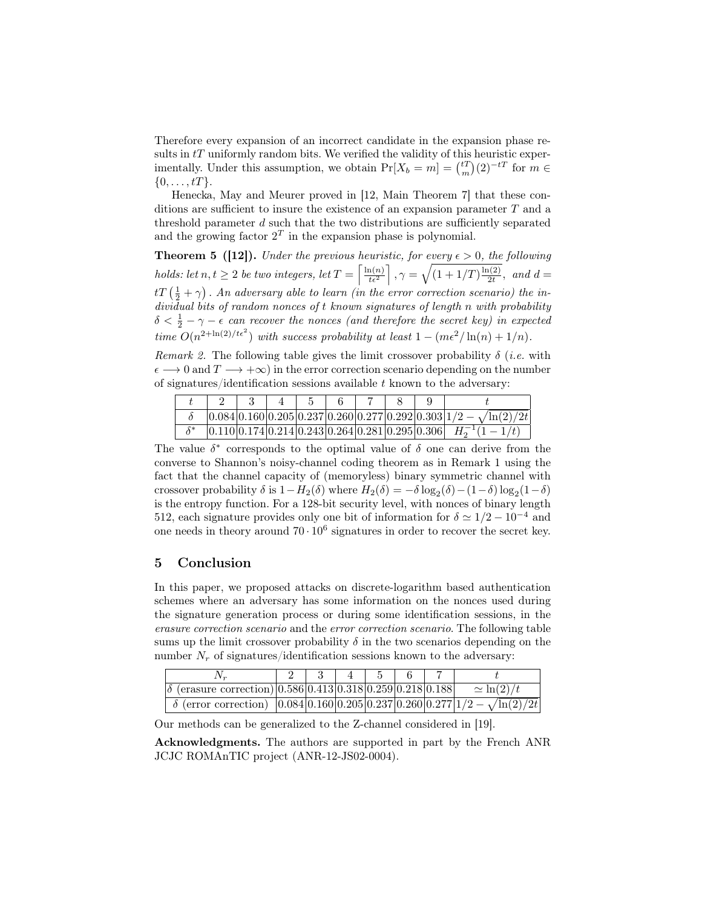Therefore every expansion of an incorrect candidate in the expansion phase results in  $tT$  uniformly random bits. We verified the validity of this heuristic experimentally. Under this assumption, we obtain  $Pr[X_b = m] = {tT \choose m}(2)^{-tT}$  for  $m \in$  $\{0, \ldots, tT\}.$ 

Henecka, May and Meurer proved in [12, Main Theorem 7] that these conditions are sufficient to insure the existence of an expansion parameter T and a threshold parameter  $d$  such that the two distributions are sufficiently separated and the growing factor  $2<sup>T</sup>$  in the expansion phase is polynomial.

**Theorem 5 ([12]).** Under the previous heuristic, for every  $\epsilon > 0$ , the following holds: let  $n, t \geq 2$  be two integers, let  $T = \left[\frac{\ln(n)}{t\epsilon^2}\right], \gamma = \sqrt{(1 + 1/T)\frac{\ln(2)}{2t}}$  $\frac{a(2)}{2t}$ , and  $d=$  $tT\left(\frac{1}{2} + \gamma\right)$ . An adversary able to learn (in the error correction scenario) the individual bits of random nonces of t known signatures of length n with probability  $\delta < \frac{1}{2} - \gamma - \epsilon$  can recover the nonces (and therefore the secret key) in expected time  $O(n^{2+\ln(2)/t\epsilon^2})$  with success probability at least  $1-(m\epsilon^2/\ln(n)+1/n)$ .

Remark 2. The following table gives the limit crossover probability  $\delta$  (*i.e.* with  $\epsilon \longrightarrow 0$  and  $T \longrightarrow +\infty$ ) in the error correction scenario depending on the number of signatures/identification sessions available  $t$  known to the adversary:

|  |  |  |  | $ 0.084 0.160 0.205 0.237 0.260 0.277 0.292 0.303 1/2 - \sqrt{\ln(2)/2t}$ |
|--|--|--|--|---------------------------------------------------------------------------|
|  |  |  |  | $ 0.110 0.174 0.214 0.243 0.264 0.281 0.295 0.306 $ $H_2^{-1}(1-1/t)$     |

The value  $\delta^*$  corresponds to the optimal value of  $\delta$  one can derive from the converse to Shannon's noisy-channel coding theorem as in Remark 1 using the fact that the channel capacity of (memoryless) binary symmetric channel with crossover probability  $\delta$  is  $1 - H_2(\delta)$  where  $H_2(\delta) = -\delta \log_2(\delta) - (1 - \delta) \log_2(1 - \delta)$ is the entropy function. For a 128-bit security level, with nonces of binary length 512, each signature provides only one bit of information for  $\delta \simeq 1/2 - 10^{-4}$  and one needs in theory around  $70 \cdot 10^6$  signatures in order to recover the secret key.

# 5 Conclusion

In this paper, we proposed attacks on discrete-logarithm based authentication schemes where an adversary has some information on the nonces used during the signature generation process or during some identification sessions, in the erasure correction scenario and the error correction scenario. The following table sums up the limit crossover probability  $\delta$  in the two scenarios depending on the number  $N_r$  of signatures/identification sessions known to the adversary:

| $\delta$ (erasure correction) 0.586 0.413 0.318 0.259 0.218 0.188                          |  |  |  | $\approx \ln(2)/t$ |
|--------------------------------------------------------------------------------------------|--|--|--|--------------------|
| $\delta$ (error correction) $ 0.084 0.160 0.205 0.237 0.260 0.277 1/2 - \sqrt{\ln(2)/2t} $ |  |  |  |                    |

Our methods can be generalized to the Z-channel considered in [19].

Acknowledgments. The authors are supported in part by the French ANR JCJC ROMAnTIC project (ANR-12-JS02-0004).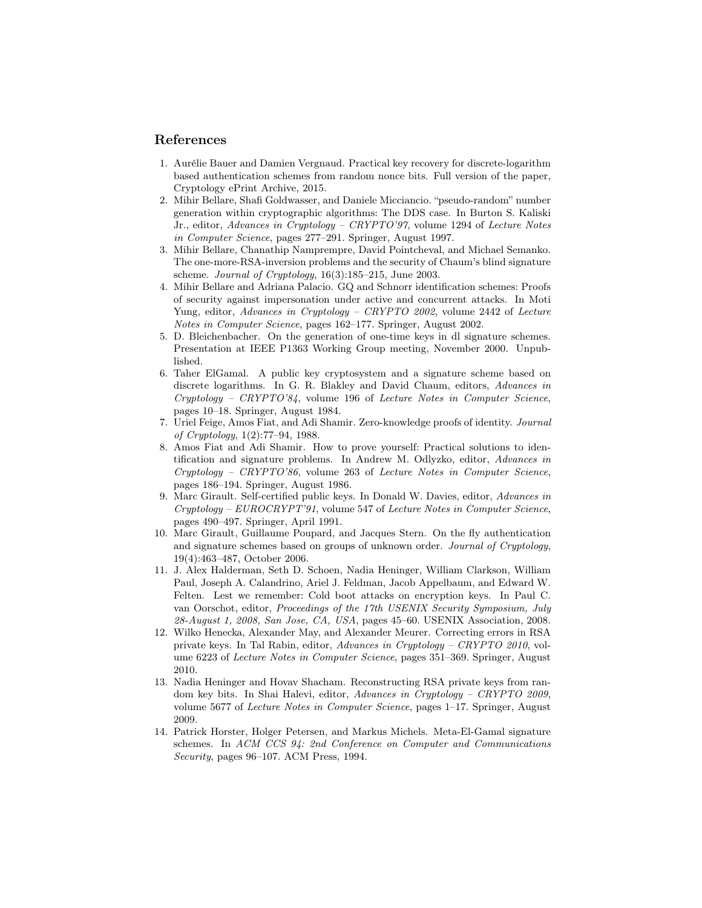### References

- 1. Aurélie Bauer and Damien Vergnaud. Practical key recovery for discrete-logarithm based authentication schemes from random nonce bits. Full version of the paper, Cryptology ePrint Archive, 2015.
- 2. Mihir Bellare, Shafi Goldwasser, and Daniele Micciancio. "pseudo-random" number generation within cryptographic algorithms: The DDS case. In Burton S. Kaliski Jr., editor, Advances in Cryptology – CRYPTO'97, volume 1294 of Lecture Notes in Computer Science, pages 277–291. Springer, August 1997.
- 3. Mihir Bellare, Chanathip Namprempre, David Pointcheval, and Michael Semanko. The one-more-RSA-inversion problems and the security of Chaum's blind signature scheme. Journal of Cryptology,  $16(3):185-215$ , June 2003.
- 4. Mihir Bellare and Adriana Palacio. GQ and Schnorr identification schemes: Proofs of security against impersonation under active and concurrent attacks. In Moti Yung, editor, Advances in Cryptology – CRYPTO 2002, volume 2442 of Lecture Notes in Computer Science, pages 162–177. Springer, August 2002.
- 5. D. Bleichenbacher. On the generation of one-time keys in dl signature schemes. Presentation at IEEE P1363 Working Group meeting, November 2000. Unpublished.
- 6. Taher ElGamal. A public key cryptosystem and a signature scheme based on discrete logarithms. In G. R. Blakley and David Chaum, editors, Advances in Cryptology – CRYPTO'84, volume 196 of Lecture Notes in Computer Science, pages 10–18. Springer, August 1984.
- 7. Uriel Feige, Amos Fiat, and Adi Shamir. Zero-knowledge proofs of identity. Journal of Cryptology, 1(2):77–94, 1988.
- 8. Amos Fiat and Adi Shamir. How to prove yourself: Practical solutions to identification and signature problems. In Andrew M. Odlyzko, editor, Advances in  $Cryptology - CRYPTO'86$ , volume 263 of Lecture Notes in Computer Science, pages 186–194. Springer, August 1986.
- 9. Marc Girault. Self-certified public keys. In Donald W. Davies, editor, Advances in  $Cryptology - EUROCRYPT'91$ , volume 547 of Lecture Notes in Computer Science, pages 490–497. Springer, April 1991.
- 10. Marc Girault, Guillaume Poupard, and Jacques Stern. On the fly authentication and signature schemes based on groups of unknown order. Journal of Cryptology, 19(4):463–487, October 2006.
- 11. J. Alex Halderman, Seth D. Schoen, Nadia Heninger, William Clarkson, William Paul, Joseph A. Calandrino, Ariel J. Feldman, Jacob Appelbaum, and Edward W. Felten. Lest we remember: Cold boot attacks on encryption keys. In Paul C. van Oorschot, editor, Proceedings of the 17th USENIX Security Symposium, July 28-August 1, 2008, San Jose, CA, USA, pages 45–60. USENIX Association, 2008.
- 12. Wilko Henecka, Alexander May, and Alexander Meurer. Correcting errors in RSA private keys. In Tal Rabin, editor, Advances in Cryptology – CRYPTO 2010, volume 6223 of Lecture Notes in Computer Science, pages 351–369. Springer, August 2010.
- 13. Nadia Heninger and Hovav Shacham. Reconstructing RSA private keys from random key bits. In Shai Halevi, editor, Advances in Cryptology – CRYPTO 2009, volume 5677 of Lecture Notes in Computer Science, pages 1–17. Springer, August 2009.
- 14. Patrick Horster, Holger Petersen, and Markus Michels. Meta-El-Gamal signature schemes. In ACM CCS 94: 2nd Conference on Computer and Communications Security, pages 96–107. ACM Press, 1994.